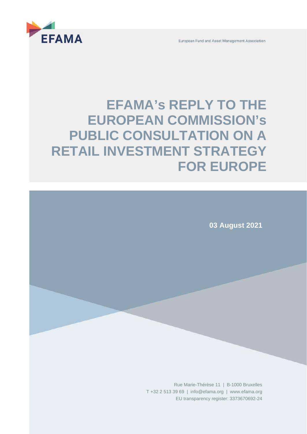



# **EFAMA's REPLY TO THE EUROPEAN COMMISSION's PUBLIC CONSULTATION ON A RETAIL INVESTMENT STRATEGY FOR EUROPE**

**03 August 2021**

Rue Marie-Thérèse 11 | B-1000 Bruxelles T +32 2 513 39 69 | [info@efama.org](mailto:info@efama.org) | [www.efama.org](http://www.efama.org/) EU transparency register: 3373670692-24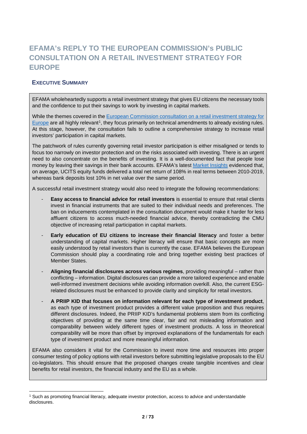## **EFAMA's REPLY TO THE EUROPEAN COMMISSION's PUBLIC CONSULTATION ON A RETAIL INVESTMENT STRATEGY FOR EUROPE**

## **EXECUTIVE SUMMARY**

EFAMA wholeheartedly supports a retail investment strategy that gives EU citizens the necessary tools and the confidence to put their savings to work by investing in capital markets.

While the themes covered in the [European Commission consultation on a retail investment strategy for](https://ec.europa.eu/info/law/better-regulation/have-your-say/initiatives/12755-Retail-Investment-Strategy/public-consultation_en)  [Europe](https://ec.europa.eu/info/law/better-regulation/have-your-say/initiatives/12755-Retail-Investment-Strategy/public-consultation_en) are all highly relevant<sup>[1](#page-1-0)</sup>, they focus primarily on technical amendments to already existing rules. At this stage, however, the consultation fails to outline a comprehensive strategy to increase retail investors' participation in capital markets.

The patchwork of rules currently governing retail investor participation is either misaligned or tends to focus too narrowly on investor protection and on the risks associated with investing. There is an urgent need to also concentrate on the benefits of investing. It is a well-documented fact that people lose money by leaving their savings in their bank accounts. EFAMA's latest [Market Insights](https://www.efama.org/sites/default/files/files/Market%20Insights%20Issue%205%20Perspective%20on%20the%20net%20performance%20of%20UCITS.pdf) evidenced that, on average, UCITS equity funds delivered a total net return of 108% in real terms between 2010-2019, whereas bank deposits lost 10% in net value over the same period.

A successful retail investment strategy would also need to integrate the following recommendations:

- **Easy access to financial advice for retail investors** is essential to ensure that retail clients invest in financial instruments that are suited to their individual needs and preferences. The ban on inducements contemplated in the consultation document would make it harder for less affluent citizens to access much-needed financial advice, thereby contradicting the CMU objective of increasing retail participation in capital markets.
- **Early education of EU citizens to increase their financial literacy** and foster a better understanding of capital markets. Higher literacy will ensure that basic concepts are more easily understood by retail investors than is currently the case. EFAMA believes the European Commission should play a coordinating role and bring together existing best practices of Member States.
- **Aligning financial disclosures across various regimes**, providing meaningful rather than conflicting – information. Digital disclosures can provide a more tailored experience and enable well-informed investment decisions while avoiding information overkill. Also, the current ESGrelated disclosures must be enhanced to provide clarity and simplicity for retail investors.
- **A PRIIP KID that focuses on information relevant for each type of investment product**, as each type of investment product provides a different value proposition and thus requires different disclosures. Indeed, the PRIIP KID's fundamental problems stem from its conflicting objectives of providing at the same time clear, fair and not misleading information and comparability between widely different types of investment products. A loss in theoretical comparability will be more than offset by improved explanations of the fundamentals for each type of investment product and more meaningful information.

EFAMA also considers it vital for the Commission to invest more time and resources into proper consumer testing of policy options with retail investors before submitting legislative proposals to the EU co-legislators. This should ensure that the proposed changes create tangible incentives and clear benefits for retail investors, the financial industry and the EU as a whole.

<span id="page-1-0"></span><sup>1</sup> Such as promoting financial literacy, adequate investor protection, access to advice and understandable disclosures.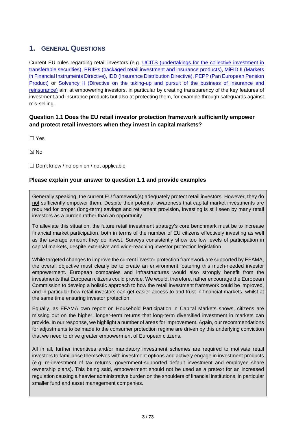## **1. GENERAL QUESTIONS**

Current EU rules regarding retail investors (e.g. [UCITS \(undertakings for the collective](https://eur-lex.europa.eu/legal-content/EN/TXT/?uri=CELEX%3A32009L0065) [investment in](https://eur-lex.europa.eu/legal-content/EN/TXT/?uri=CELEX%3A32009L0065)  [transferable securities\),](https://eur-lex.europa.eu/legal-content/EN/TXT/?uri=CELEX%3A32009L0065) [PRIIPs \(packaged retail investment and insurance](https://eur-lex.europa.eu/legal-content/EN/TXT/?uri=CELEX%3A32014R1286) [products\),](https://eur-lex.europa.eu/legal-content/EN/TXT/?uri=CELEX%3A32014R1286) [MiFID II \(Markets](https://eur-lex.europa.eu/legal-content/EN/TXT/?uri=CELEX%3A32014L0065)  [in Financial Instruments Directive\),](https://eur-lex.europa.eu/legal-content/EN/TXT/?uri=CELEX%3A32014L0065) [IDD \(Insurance](https://eur-lex.europa.eu/legal-content/EN/TXT/?uri=CELEX%3A32016L0097) [Distribution Directive\),](https://eur-lex.europa.eu/legal-content/EN/TXT/?uri=CELEX%3A32016L0097) [PEPP \(Pan European Pension](https://eur-lex.europa.eu/legal-content/EN/TXT/?uri=CELEX%3A32019R1238)  [Product\) o](https://eur-lex.europa.eu/legal-content/EN/TXT/?uri=CELEX%3A32019R1238)r [Solvency II \(Directive](https://eur-lex.europa.eu/legal-content/EN/TXT/?uri=CELEX%3A32009L0138) [on the taking-up and pursuit of the business of insurance and](https://eur-lex.europa.eu/legal-content/EN/TXT/?uri=CELEX%3A32009L0138)  [reinsurance\)](https://eur-lex.europa.eu/legal-content/EN/TXT/?uri=CELEX%3A32009L0138) aim at empowering investors, in particular by creating transparency of the key features of investment and insurance products but also at protecting them, for example through safeguards against mis-selling.

## **Question 1.1 Does the EU retail investor protection framework sufficiently empower and protect retail investors when they invest in capital markets?**

☐ Yes

☒ No

 $\Box$  Don't know / no opinion / not applicable

## **Please explain your answer to question 1.1 and provide examples**

Generally speaking, the current EU framework(s) adequately protect retail investors. However, they do not sufficiently empower them. Despite their potential awareness that capital market investments are required for proper (long-term) savings and retirement provision, investing is still seen by many retail investors as a burden rather than an opportunity.

To alleviate this situation, the future retail investment strategy's core benchmark must be to increase financial market participation, both in terms of the number of EU citizens effectively investing as well as the average amount they do invest. Surveys consistently show too low levels of participation in capital markets, despite extensive and wide-reaching investor protection legislation.

While targeted changes to improve the current investor protection framework are supported by EFAMA, the overall objective must clearly be to create an environment fostering this much-needed investor empowerment. European companies and infrastructures would also strongly benefit from the investments that European citizens could provide. We would, therefore, rather encourage the European Commission to develop a holistic approach to how the retail investment framework could be improved, and in particular how retail investors can get easier access to and trust in financial markets, whilst at the same time ensuring investor protection.

Equally, as EFAMA own report on Household Participation in Capital Markets shows, citizens are missing out on the higher, longer-term returns that long-term diversified investment in markets can provide. In our response, we highlight a number of areas for improvement. Again, our recommendations for adjustments to be made to the consumer protection regime are driven by this underlying conviction that we need to drive greater empowerment of European citizens.

All in all, further incentives and/or mandatory investment schemes are required to motivate retail investors to familiarise themselves with investment options and actively engage in investment products (e.g. re-investment of tax returns, government-supported default investment and employee share ownership plans). This being said, empowerment should not be used as a pretext for an increased regulation causing a heavier administrative burden on the shoulders of financial institutions, in particular smaller fund and asset management companies.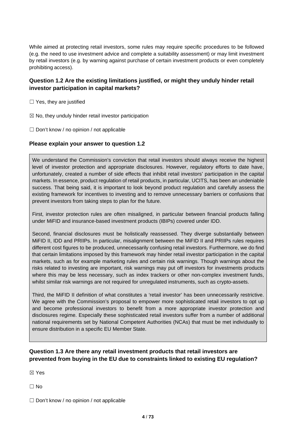While aimed at protecting retail investors, some rules may require specific procedures to be followed (e.g. the need to use investment advice and complete a suitability assessment) or may limit investment by retail investors (e.g. by warning against purchase of certain investment products or even completely prohibiting access).

## **Question 1.2 Are the existing limitations justified, or might they unduly hinder retail investor participation in capital markets?**

 $\Box$  Yes, they are justified

 $\boxtimes$  No, they unduly hinder retail investor participation

 $\Box$  Don't know / no opinion / not applicable

#### **Please explain your answer to question 1.2**

We understand the Commission's conviction that retail investors should always receive the highest level of investor protection and appropriate disclosures. However, regulatory efforts to date have, unfortunately, created a number of side effects that inhibit retail investors' participation in the capital markets. In essence, product regulation of retail products, in particular, UCITS, has been an undeniable success. That being said, it is important to look beyond product regulation and carefully assess the existing framework for incentives to investing and to remove unnecessary barriers or confusions that prevent investors from taking steps to plan for the future.

First, investor protection rules are often misaligned, in particular between financial products falling under MiFID and insurance-based investment products (IBIPs) covered under IDD.

Second, financial disclosures must be holistically reassessed. They diverge substantially between MiFID II, IDD and PRIIPs. In particular, misalignment between the MiFID II and PRIIPs rules requires different cost figures to be produced, unnecessarily confusing retail investors. Furthermore, we do find that certain limitations imposed by this framework may hinder retail investor participation in the capital markets, such as for example marketing rules and certain risk warnings. Though warnings about the risks related to investing are important, risk warnings may put off investors for investments products where this may be less necessary, such as index trackers or other non-complex investment funds, whilst similar risk warnings are not required for unregulated instruments, such as crypto-assets.

Third, the MiFID II definition of what constitutes a 'retail investor' has been unnecessarily restrictive. We agree with the Commission's proposal to empower more sophisticated retail investors to opt up and become professional investors to benefit from a more appropriate investor protection and disclosures regime. Especially these sophisticated retail investors suffer from a number of additional national requirements set by National Competent Authorities (NCAs) that must be met individually to ensure distribution in a specific EU Member State.

## **Question 1.3 Are there any retail investment products that retail investors are prevented from buying in the EU due to constraints linked to existing EU regulation?**

☒ Yes

☐ No

 $\Box$  Don't know / no opinion / not applicable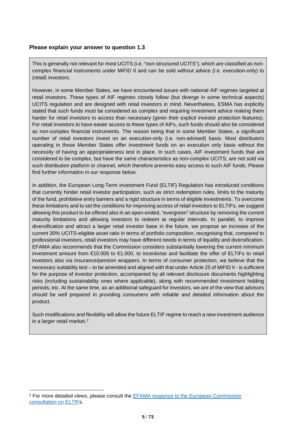#### **Please explain your answer to question 1.3**

This is generally not relevant for most UCITS (i.e. "non-structured UCITS"), which are classified as noncomplex financial instruments under MiFID II and can be sold without advice (i.e. execution-only) to (retail) investors.

However, in some Member States, we have encountered issues with national AIF regimes targeted at retail investors. These types of AIF regimes closely follow (but diverge in some technical aspects) UCITS regulation and are designed with retail investors in mind. Nevertheless, ESMA has explicitly stated that such funds must be considered as complex and requiring investment advice making them harder for retail investors to access than necessary (given their explicit investor protection features). For retail investors to have easier access to these types of AIFs, such funds should also be considered as non-complex financial instruments. The reason being that in some Member States, a significant number of retail investors invest on an execution-only (i.e. non-advised) basis. Most distributors operating in those Member States offer investment funds on an execution only basis without the necessity of having an appropriateness test in place. In such cases, AIF investment funds that are considered to be complex, but have the same characteristics as non-complex UCITS, are not sold via such distribution platform or channel, which therefore prevents easy access to such AIF funds. Please find further information in our response below.

In addition, the European Long-Term Investment Fund (ELTIF) Regulation has introduced conditions that currently hinder retail investor participation, such as strict redemption rules, limits to the maturity of the fund, prohibitive entry barriers and a rigid structure in terms of eligible investments. To overcome these limitations and to set the conditions for improving access of retail investors to ELTIFs, we suggest allowing this product to be offered also in an open-ended, "evergreen" structure by removing the current maturity limitations and allowing investors to redeem at regular intervals. In parallel, to improve diversification and attract a larger retail investor base in the future, we propose an increase of the current 30% UCITS-eligible asset ratio in terms of portfolio composition, recognising that, compared to professional investors, retail investors may have different needs in terms of liquidity and diversification. EFAMA also recommends that the Commission considers substantially lowering the current minimum investment amount from €10.000 to €1.000, to incentivise and facilitate the offer of ELTIFs to retail investors also via insurance/pension wrappers. In terms of consumer protection, we believe that the necessary suitability test – to be amended and aligned with that under Article 25 of MiFID II - is sufficient for the purpose of investor protection, accompanied by all relevant disclosure documents highlighting risks (including sustainability ones where applicable), along with recommended investment holding periods, etc. At the same time, as an additional safeguard for investors, we are of the view that advisors should be well prepared in providing consumers with reliable and detailed information about the product.

Such modifications and flexibility will allow the future ELTIF regime to reach a new investment audience in a larger retail market.[2](#page-4-0)

<span id="page-4-0"></span><sup>&</sup>lt;sup>2</sup> For more detailed views, please consult the **EFAMA** response to the European Commission [consultation on ELTIFs](https://www.efama.org/sites/default/files/publications/21-4003_0.pdf).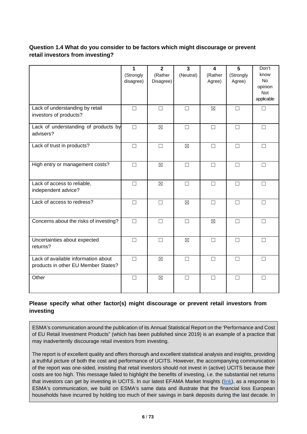## **Question 1.4 What do you consider to be factors which might discourage or prevent retail investors from investing?**

|                                                                            | 1<br>(Strongly<br>disagree) | $\overline{2}$<br>(Rather<br>Disagree) | $\overline{3}$<br>(Neutral) | 4<br>(Rather<br>Agree) | 5<br>(Strongly<br>Agree) | Don't<br>know<br><b>No</b><br>opinion<br>Not<br>applicable |
|----------------------------------------------------------------------------|-----------------------------|----------------------------------------|-----------------------------|------------------------|--------------------------|------------------------------------------------------------|
| Lack of understanding by retail<br>investors of products?                  | $\Box$                      | $\Box$                                 | $\Box$                      | $\boxtimes$            | $\Box$                   | $\Box$                                                     |
| Lack of understanding of products by<br>advisers?                          | $\Box$                      | $\boxtimes$                            | $\Box$                      | $\Box$                 | $\Box$                   | $\Box$                                                     |
| Lack of trust in products?                                                 | $\Box$                      | $\Box$                                 | $\boxtimes$                 | $\Box$                 | $\Box$                   | $\Box$                                                     |
| High entry or management costs?                                            | $\Box$                      | $\boxtimes$                            | П                           | П                      | П                        | П                                                          |
| Lack of access to reliable,<br>independent advice?                         | $\Box$                      | $\boxtimes$                            | $\Box$                      | $\Box$                 | $\Box$                   | $\Box$                                                     |
| Lack of access to redress?                                                 | $\Box$                      | $\Box$                                 | $\boxtimes$                 | $\Box$                 | $\Box$                   | $\Box$                                                     |
| Concerns about the risks of investing?                                     | $\Box$                      | $\Box$                                 | $\Box$                      | $\boxtimes$            | $\Box$                   | $\Box$                                                     |
| Uncertainties about expected<br>returns?                                   | П                           | П                                      | $\boxtimes$                 | П                      | $\Box$                   | П                                                          |
| Lack of available information about<br>products in other EU Member States? | $\Box$                      | $\boxtimes$                            | П                           | П                      | $\Box$                   | $\Box$                                                     |
| Other                                                                      | $\Box$                      | $\boxtimes$                            | $\Box$                      | П                      | $\Box$                   | $\Box$                                                     |

## **Please specify what other factor(s) might discourage or prevent retail investors from investing**

ESMA's communication around the publication of its Annual Statistical Report on the 'Performance and Cost of EU Retail Investment Products" (which has been published since 2019) is an example of a practice that may inadvertently discourage retail investors from investing.

The report is of excellent quality and offers thorough and excellent statistical analysis and insights, providing a truthful picture of both the cost and performance of UCITS. However, the accompanying communication of the report was one-sided, insisting that retail investors should not invest in (active) UCITS because their costs are too high. This message failed to highlight the benefits of investing, i.e. the substantial net returns that investors can get by investing in UCITS. In our latest EFAMA Market Insights [\(link\)](https://www.efama.org/sites/default/files/files/Market%20Insights%20Issue%205%20Perspective%20on%20the%20net%20performance%20of%20UCITS.pdf), as a response to ESMA's communication, we build on ESMA's same data and illustrate that the financial loss European households have incurred by holding too much of their savings in bank deposits during the last decade. In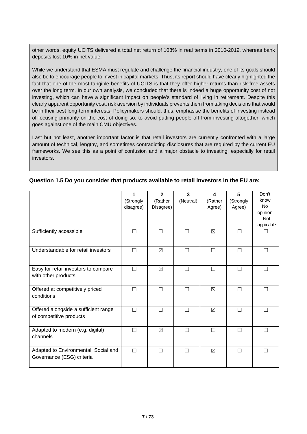other words, equity UCITS delivered a total net return of 108% in real terms in 2010-2019, whereas bank deposits lost 10% in net value.

While we understand that ESMA must regulate and challenge the financial industry, one of its goals should also be to encourage people to invest in capital markets. Thus, its report should have clearly highlighted the fact that one of the most tangible benefits of UCITS is that they offer higher returns than risk-free assets over the long term. In our own analysis, we concluded that there is indeed a huge opportunity cost of not investing, which can have a significant impact on people's standard of living in retirement. Despite this clearly apparent opportunity cost, risk aversion by individuals prevents them from taking decisions that would be in their best long-term interests. Policymakers should, thus, emphasise the benefits of investing instead of focusing primarily on the cost of doing so, to avoid putting people off from investing altogether, which goes against one of the main CMU objectives.

Last but not least, another important factor is that retail investors are currently confronted with a large amount of technical, lengthy, and sometimes contradicting disclosures that are required by the current EU frameworks. We see this as a point of confusion and a major obstacle to investing, especially for retail investors.

|                                                                   | 1<br>(Strongly<br>disagree) | $\mathbf{2}$<br>(Rather<br>Disagree) | $\overline{\mathbf{3}}$<br>(Neutral) | 4<br>(Rather<br>Agree) | 5<br>(Strongly<br>Agree) | Don't<br>know<br><b>No</b><br>opinion<br><b>Not</b><br>applicable |
|-------------------------------------------------------------------|-----------------------------|--------------------------------------|--------------------------------------|------------------------|--------------------------|-------------------------------------------------------------------|
| Sufficiently accessible                                           | П                           | П                                    | П                                    | $\boxtimes$            | $\Box$                   |                                                                   |
| Understandable for retail investors                               | П                           | $\boxtimes$                          | П                                    | П                      | $\Box$                   | П                                                                 |
| Easy for retail investors to compare<br>with other products       | П                           | $\boxtimes$                          | П                                    | П                      | $\Box$                   | П                                                                 |
| Offered at competitively priced<br>conditions                     | П                           | П                                    | П                                    | $\boxtimes$            | П                        | П                                                                 |
| Offered alongside a sufficient range<br>of competitive products   | П                           | П                                    | П                                    | $\boxtimes$            | П                        | П                                                                 |
| Adapted to modern (e.g. digital)<br>channels                      | П                           | $\boxtimes$                          |                                      | П                      | П                        | П                                                                 |
| Adapted to Environmental, Social and<br>Governance (ESG) criteria | П                           | П                                    | П                                    | $\boxtimes$            | П                        | П                                                                 |

#### **Question 1.5 Do you consider that products available to retail investors in the EU are:**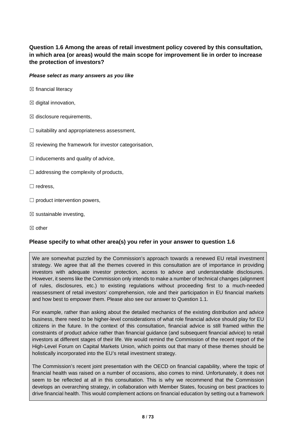## **Question 1.6 Among the areas of retail investment policy covered by this consultation, in which area (or areas) would the main scope for improvement lie in order to increase the protection of investors?**

#### *Please select as many answers as you like*

- $\boxtimes$  financial literacy
- $\boxtimes$  digital innovation,
- $\boxtimes$  disclosure requirements,
- $\Box$  suitability and appropriateness assessment,
- $\boxtimes$  reviewing the framework for investor categorisation,
- $\Box$  inducements and quality of advice,
- $\Box$  addressing the complexity of products,
- ☐ redress,
- $\Box$  product intervention powers,
- $\boxtimes$  sustainable investing,
- ☒ other

#### **Please specify to what other area(s) you refer in your answer to question 1.6**

We are somewhat puzzled by the Commission's approach towards a renewed EU retail investment strategy. We agree that all the themes covered in this consultation are of importance in providing investors with adequate investor protection, access to advice and understandable disclosures. However, it seems like the Commission only intends to make a number of technical changes (alignment of rules, disclosures, etc.) to existing regulations without proceeding first to a much-needed reassessment of retail investors' comprehension, role and their participation in EU financial markets and how best to empower them. Please also see our answer to Question 1.1.

For example, rather than asking about the detailed mechanics of the existing distribution and advice business, there need to be higher-level considerations of what role financial advice should play for EU citizens in the future. In the context of this consultation, financial advice is still framed within the constraints of product advice rather than financial guidance (and subsequent financial advice) to retail investors at different stages of their life. We would remind the Commission of the recent report of the High-Level Forum on Capital Markets Union, which points out that many of these themes should be holistically incorporated into the EU's retail investment strategy.

The Commission's recent joint presentation with the OECD on financial capability, where the topic of financial health was raised on a number of occasions, also comes to mind. Unfortunately, it does not seem to be reflected at all in this consultation. This is why we recommend that the Commission develops an overarching strategy, in collaboration with Member States, focusing on best practices to drive financial health. This would complement actions on financial education by setting out a framework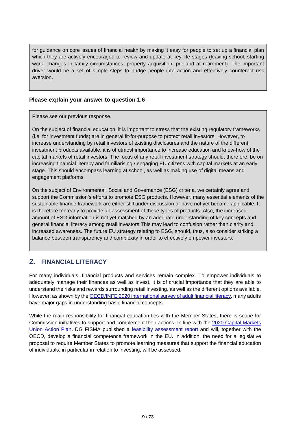for guidance on core issues of financial health by making it easy for people to set up a financial plan which they are actively encouraged to review and update at key life stages (leaving school, starting work, changes in family circumstances, property acquisition, pre and at retirement). The important driver would be a set of simple steps to nudge people into action and effectively counteract risk aversion.

#### **Please explain your answer to question 1.6**

Please see our previous response.

On the subject of financial education, it is important to stress that the existing regulatory frameworks (i.e. for investment funds) are in general fit-for-purpose to protect retail investors. However, to increase understanding by retail investors of existing disclosures and the nature of the different investment products available, it is of utmost importance to increase education and know-how of the capital markets of retail investors. The focus of any retail investment strategy should, therefore, be on increasing financial literacy and familiarising / engaging EU citizens with capital markets at an early stage. This should encompass learning at school, as well as making use of digital means and engagement platforms.

On the subject of Environmental, Social and Governance (ESG) criteria, we certainly agree and support the Commission's efforts to promote ESG products. However, many essential elements of the sustainable finance framework are either still under discussion or have not yet become applicable. It is therefore too early to provide an assessment of these types of products. Also, the increased amount of ESG information is not yet matched by an adequate understanding of key concepts and general financial literacy among retail investors This may lead to confusion rather than clarity and increased awareness. The future EU strategy relating to ESG, should, thus, also consider striking a balance between transparency and complexity in order to effectively empower investors.

## **2. FINANCIAL LITERACY**

For many individuals, financial products and services remain complex. To empower individuals to adequately manage their finances as well as invest, it is of crucial importance that they are able to understand the risks and rewards surrounding retail investing, as well as the different options available. However, as shown by th[e OECD/INFE 2020 international survey of adult financial](https://www.oecd.org/financial/education/oecd-infe-2020-international-survey-of-adult-financial-literacy.pdf) literacy, many adults have major gaps in understanding basic financial concepts.

While the main responsibility for financial education lies with the Member States, there is scope for Commission initiatives to support and complement their actions. In line with the [2020 Capital Markets](https://eur-lex.europa.eu/legal-content/EN/TXT/?uri=COM%3A2020%3A590%3AFIN)  [Union Action Plan,](https://eur-lex.europa.eu/legal-content/EN/TXT/?uri=COM%3A2020%3A590%3AFIN) DG FISMA published a [feasibility](https://ec.europa.eu/info/sites/default/files/business_economy_euro/banking_and_finance/documents/210408-report-financial-competence-framework_en.pdf) [assessment report](https://ec.europa.eu/info/sites/default/files/business_economy_euro/banking_and_finance/documents/210408-report-financial-competence-framework_en.pdf) and will, together with the OECD, develop a financial competence framework in the EU. In addition, the need for a legislative proposal to require Member States to promote learning measures that support the financial education of individuals, in particular in relation to investing, will be assessed.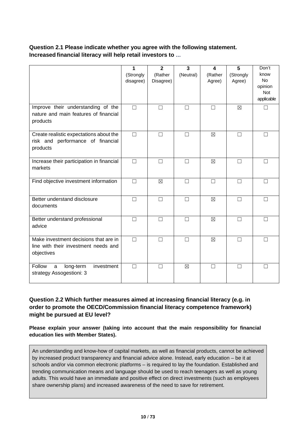## **Question 2.1 Please indicate whether you agree with the following statement. Increased financial literacy will help retail investors to …**

|                                                                                             | 1<br>(Strongly<br>disagree) | $\mathbf{2}$<br>(Rather<br>Disagree) | 3<br>(Neutral) | 4<br>(Rather<br>Agree) | 5<br>(Strongly<br>Agree) | Don't<br>know<br><b>No</b><br>opinion<br><b>Not</b><br>applicable |
|---------------------------------------------------------------------------------------------|-----------------------------|--------------------------------------|----------------|------------------------|--------------------------|-------------------------------------------------------------------|
| Improve their understanding of the<br>nature and main features of financial<br>products     | $\Box$                      | П                                    | П              | П                      | $\boxtimes$              |                                                                   |
| Create realistic expectations about the<br>risk and performance of financial<br>products    | $\Box$                      | П                                    | $\Box$         | $\boxtimes$            | П                        | $\Box$                                                            |
| Increase their participation in financial<br>markets                                        | $\Box$                      | $\Box$                               | $\Box$         | $\boxtimes$            | $\Box$                   | П                                                                 |
| Find objective investment information                                                       | $\Box$                      | $\boxtimes$                          | $\Box$         | $\Box$                 | $\Box$                   | П                                                                 |
| Better understand disclosure<br>documents                                                   | $\Box$                      | П                                    | $\Box$         | $\boxtimes$            | $\Box$                   | П                                                                 |
| Better understand professional<br>advice                                                    | $\Box$                      | $\Box$                               | $\Box$         | ⊠                      | П                        | П                                                                 |
| Make investment decisions that are in<br>line with their investment needs and<br>objectives | $\Box$                      | $\Box$                               | $\Box$         | $\boxtimes$            | $\Box$                   | $\Box$                                                            |
| Follow<br>long-term<br>investment<br>a<br>strategy Assogestioni: 3                          | $\Box$                      | $\Box$                               | $\boxtimes$    | $\Box$                 | $\Box$                   | П                                                                 |

## **Question 2.2 Which further measures aimed at increasing financial literacy (e.g. in order to promote the OECD/Commission financial literacy competence framework) might be pursued at EU level?**

**Please explain your answer (taking into account that the main responsibility for financial education lies with Member States).**

An understanding and know-how of capital markets, as well as financial products, cannot be achieved by increased product transparency and financial advice alone. Instead, early education – be it at schools and/or via common electronic platforms – is required to lay the foundation. Established and trending communication means and language should be used to reach teenagers as well as young adults. This would have an immediate and positive effect on direct investments (such as employees share ownership plans) and increased awareness of the need to save for retirement.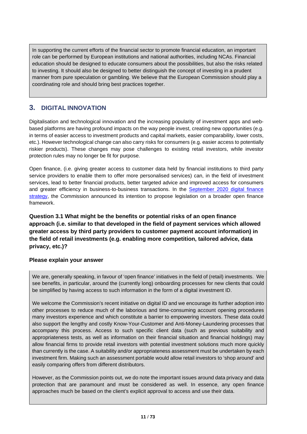In supporting the current efforts of the financial sector to promote financial education, an important role can be performed by European institutions and national authorities, including NCAs. Financial education should be designed to educate consumers about the possibilities, but also the risks related to investing. It should also be designed to better distinguish the concept of investing in a prudent manner from pure speculation or gambling. We believe that the European Commission should play a coordinating role and should bring best practices together.

## **3. DIGITAL INNOVATION**

Digitalisation and technological innovation and the increasing popularity of investment apps and webbased platforms are having profound impacts on the way people invest, creating new opportunities (e.g. in terms of easier access to investment products and capital markets, easier comparability, lower costs, etc.). However technological change can also carry risks for consumers (e.g. easier access to potentially riskier products). These changes may pose challenges to existing retail investors, while investor protection rules may no longer be fit for purpose.

Open finance, (i.e. giving greater access to customer data held by financial institutions to third party service providers to enable them to offer more personalised services) can, in the field of investment services, lead to better financial products, better targeted advice and improved access for consumers and greater efficiency in business-to-business transactions. In the [September 2020 digital finance](https://ec.europa.eu/info/publications/200924-digital-finance-proposals_en)  [strategy,](https://ec.europa.eu/info/publications/200924-digital-finance-proposals_en) the Commission announced its intention to propose legislation on a broader open finance framework.

**Question 3.1 What might be the benefits or potential risks of an open finance approach (i.e. similar to that developed in the field of payment services which allowed greater access by third party providers to customer payment account information) in the field of retail investments (e.g. enabling more competition, tailored advice, data privacy, etc.)?**

## **Please explain your answer**

We are, generally speaking, in favour of 'open finance' initiatives in the field of (retail) investments. We see benefits, in particular, around the (currently long) onboarding processes for new clients that could be simplified by having access to such information in the form of a digital investment ID.

We welcome the Commission's recent initiative on digital ID and we encourage its further adoption into other processes to reduce much of the laborious and time-consuming account opening procedures many investors experience and which constitute a barrier to empowering investors. These data could also support the lengthy and costly Know-Your-Customer and Anti-Money-Laundering processes that accompany this process. Access to such specific client data (such as previous suitability and appropriateness tests, as well as information on their financial situation and financial holdings) may allow financial firms to provide retail investors with potential investment solutions much more quickly than currently is the case. A suitability and/or appropriateness assessment must be undertaken by each investment firm. Making such an assessment portable would allow retail investors to 'shop around' and easily comparing offers from different distributors.

However, as the Commission points out, we do note the important issues around data privacy and data protection that are paramount and must be considered as well. In essence, any open finance approaches much be based on the client's explicit approval to access and use their data.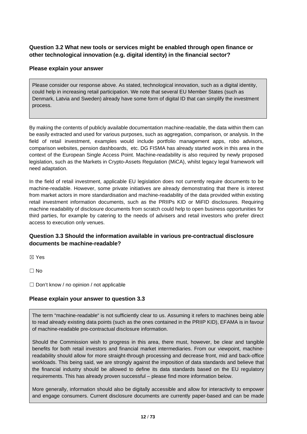## **Question 3.2 What new tools or services might be enabled through open finance or other technological innovation (e.g. digital identity) in the financial sector?**

#### **Please explain your answer**

Please consider our response above. As stated, technological innovation, such as a digital identity, could help in increasing retail participation. We note that several EU Member States (such as Denmark, Latvia and Sweden) already have some form of digital ID that can simplify the investment process.

By making the contents of publicly available documentation machine-readable, the data within them can be easily extracted and used for various purposes, such as aggregation, comparison, or analysis. In the field of retail investment, examples would include portfolio management apps, robo advisors, comparison websites, pension dashboards, etc. DG FISMA has already started work in this area in the context of the European Single Access Point. Machine-readability is also required by newly proposed legislation, such as the Markets in Crypto-Assets Regulation (MiCA), whilst legacy legal framework will need adaptation.

In the field of retail investment, applicable EU legislation does not currently require documents to be machine-readable. However, some private initiatives are already demonstrating that there is interest from market actors in more standardisation and machine-readability of the data provided within existing retail investment information documents, such as the PRIIPs KID or MiFID disclosures. Requiring machine readability of disclosure documents from scratch could help to open business opportunities for third parties, for example by catering to the needs of advisers and retail investors who prefer direct access to execution only venues.

#### **Question 3.3 Should the information available in various pre-contractual disclosure documents be machine-readable?**

☒ Yes

 $\Box$  No

 $\Box$  Don't know / no opinion / not applicable

#### **Please explain your answer to question 3.3**

The term "machine-readable" is not sufficiently clear to us. Assuming it refers to machines being able to read already existing data points (such as the ones contained in the PRIIP KID), EFAMA is in favour of machine-readable pre-contractual disclosure information.

Should the Commission wish to progress in this area, there must, however, be clear and tangible benefits for both retail investors and financial market intermediaries. From our viewpoint, machinereadability should allow for more straight-through processing and decrease front, mid and back-office workloads. This being said, we are strongly against the imposition of data standards and believe that the financial industry should be allowed to define its data standards based on the EU regulatory requirements. This has already proven successful – please find more information below.

More generally, information should also be digitally accessible and allow for interactivity to empower and engage consumers. Current disclosure documents are currently paper-based and can be made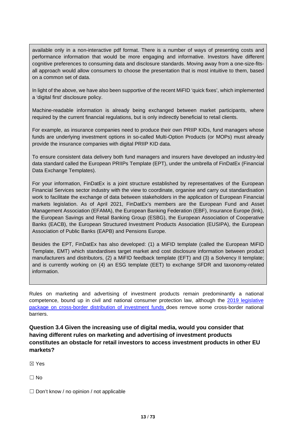available only in a non-interactive pdf format. There is a number of ways of presenting costs and performance information that would be more engaging and informative. Investors have different cognitive preferences to consuming data and disclosure standards. Moving away from a one-size-fitsall approach would allow consumers to choose the presentation that is most intuitive to them, based on a common set of data.

In light of the above, we have also been supportive of the recent MiFID 'quick fixes', which implemented a 'digital first' disclosure policy.

Machine-readable information is already being exchanged between market participants, where required by the current financial regulations, but is only indirectly beneficial to retail clients.

For example, as insurance companies need to produce their own PRIIP KIDs, fund managers whose funds are underlying investment options in so-called Multi-Option Products (or MOPs) must already provide the insurance companies with digital PRIIP KID data.

To ensure consistent data delivery both fund managers and insurers have developed an industry-led data standard called the European PRIIPs Template (EPT), under the umbrella of FinDatEx (Financial Data Exchange Templates).

For your information, FinDatEx is a joint structure established by representatives of the European Financial Services sector industry with the view to coordinate, organise and carry out standardisation work to facilitate the exchange of data between stakeholders in the application of European Financial markets legislation. As of April 2021, FinDatEx's members are the European Fund and Asset Management Association (EFAMA), the European Banking Federation (EBF), Insurance Europe (link), the European Savings and Retail Banking Group (ESBG), the European Association of Cooperative Banks (EACB), the European Structured Investment Products Association (EUSIPA), the European Association of Public Banks (EAPB) and Pensions Europe.

Besides the EPT, FinDatEx has also developed: (1) a MiFID template (called the European MiFID Template, EMT) which standardises target market and cost disclosure information between product manufacturers and distributors, (2) a MiFID feedback template (EFT) and (3) a Solvency II template; and is currently working on (4) an ESG template (EET) to exchange SFDR and taxonomy-related information.

Rules on marketing and advertising of investment products remain predominantly a national competence, bound up in civil and national consumer protection law, although the [2019 legislative](https://ec.europa.eu/info/business-economy-euro/growth-and-investment/investment-funds_en#cross-border)  [package on cross-border distribution of investment funds](https://ec.europa.eu/info/business-economy-euro/growth-and-investment/investment-funds_en#cross-border) does remove some cross-border national barriers.

**Question 3.4 Given the increasing use of digital media, would you consider that having different rules on marketing and advertising of investment products constitutes an obstacle for retail investors to access investment products in other EU markets?**

☒ Yes

 $\Box$  No

□ Don't know / no opinion / not applicable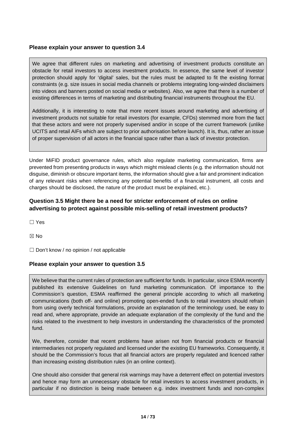#### **Please explain your answer to question 3.4**

We agree that different rules on marketing and advertising of investment products constitute an obstacle for retail investors to access investment products. In essence, the same level of investor protection should apply for 'digital' sales, but the rules must be adapted to fit the existing format constraints (e.g. size issues in social media channels or problems integrating long-winded disclaimers into videos and banners posted on social media or websites). Also, we agree that there is a number of existing differences in terms of marketing and distributing financial instruments throughout the EU.

Additionally, it is interesting to note that more recent issues around marketing and advertising of investment products not suitable for retail investors (for example, CFDs) stemmed more from the fact that these actors and were not properly supervised and/or in scope of the current framework (unlike UCITS and retail AIFs which are subject to prior authorisation before launch). It is, thus, rather an issue of proper supervision of all actors in the financial space rather than a lack of investor protection.

Under MiFID product governance rules, which also regulate marketing communication, firms are prevented from presenting products in ways which might mislead clients (e.g. the information should not disguise, diminish or obscure important items, the information should give a fair and prominent indication of any relevant risks when referencing any potential benefits of a financial instrument, all costs and charges should be disclosed, the nature of the product must be explained, etc.).

## **Question 3.5 Might there be a need for stricter enforcement of rules on online advertising to protect against possible mis-selling of retail investment products?**

☐ Yes

☒ No

 $\Box$  Don't know / no opinion / not applicable

#### **Please explain your answer to question 3.5**

We believe that the current rules of protection are sufficient for funds. In particular, since ESMA recently published its extensive Guidelines on fund marketing communication. Of importance to the Commission's question, ESMA reaffirmed the general principle according to which all marketing communications (both off- and online) promoting open-ended funds to retail investors should refrain from using overly technical formulations, provide an explanation of the terminology used, be easy to read and, where appropriate, provide an adequate explanation of the complexity of the fund and the risks related to the investment to help investors in understanding the characteristics of the promoted fund.

We, therefore, consider that recent problems have arisen not from financial products or financial intermediaries not properly regulated and licensed under the existing EU frameworks. Consequently, it should be the Commission's focus that all financial actors are properly regulated and licenced rather than increasing existing distribution rules (in an online context).

One should also consider that general risk warnings may have a deterrent effect on potential investors and hence may form an unnecessary obstacle for retail investors to access investment products, in particular if no distinction is being made between e.g. index investment funds and non-complex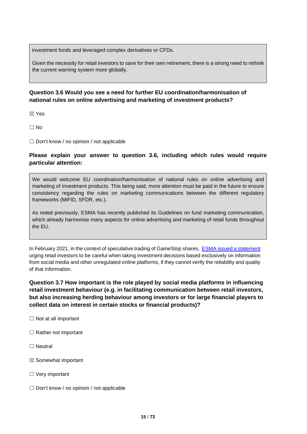investment funds and leveraged complex derivatives or CFDs.

Given the necessity for retail investors to save for their own retirement, there is a strong need to rethink the current warning system more globally.

## **Question 3.6 Would you see a need for further EU coordination/harmonisation of national rules on online advertising and marketing of investment products?**

☒ Yes

 $\Box$  No

☐ Don't know / no opinion / not applicable

#### **Please explain your answer to question 3.6, including which rules would require particular attention:**

We would welcome EU coordination/harmonisation of national rules on online advertising and marketing of investment products. This being said, more attention must be paid in the future to ensure consistency regarding the rules on marketing communications between the different regulatory frameworks (MiFID, SFDR, etc.).

As noted previously, ESMA has recently published its Guidelines on fund marketing communication, which already harmonise many aspects for online advertising and marketing of retail funds throughout the EU.

In February 2021, in the context of speculative trading of GameStop shares, [ESMA](https://www.esma.europa.eu/sites/default/files/library/esma70-155-11809_episodes_of_very_high_volatility_in_trading_of_certain_stocks_0.pdf) [issued a statement](https://www.esma.europa.eu/sites/default/files/library/esma70-155-11809_episodes_of_very_high_volatility_in_trading_of_certain_stocks_0.pdf)  urging retail investors to be careful when taking investment decisions based exclusively on information from social media and other unregulated online platforms, if they cannot verify the reliability and quality of that information.

**Question 3.7 How important is the role played by social media platforms in influencing retail investment behaviour (e.g. in facilitating communication between retail investors, but also increasing herding behaviour among investors or for large financial players to collect data on interest in certain stocks or financial products)?**

- □ Not at all important
- $\Box$  Rather not important
- ☐ Neutral
- ☒ Somewhat important
- □ Very important
- $\Box$  Don't know / no opinion / not applicable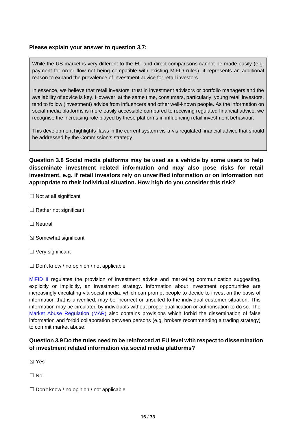#### **Please explain your answer to question 3.7:**

While the US market is very different to the EU and direct comparisons cannot be made easily (e.g. payment for order flow not being compatible with existing MiFID rules), it represents an additional reason to expand the prevalence of investment advice for retail investors.

In essence, we believe that retail investors' trust in investment advisors or portfolio managers and the availability of advice is key. However, at the same time, consumers, particularly, young retail investors, tend to follow (investment) advice from influencers and other well-known people. As the information on social media platforms is more easily accessible compared to receiving regulated financial advice, we recognise the increasing role played by these platforms in influencing retail investment behaviour.

This development highlights flaws in the current system vis-à-vis regulated financial advice that should be addressed by the Commission's strategy.

**Question 3.8 Social media platforms may be used as a vehicle by some users to help disseminate investment related information and may also pose risks for retail investment, e.g. if retail investors rely on unverified information or on information not appropriate to their individual situation. How high do you consider this risk?**

- $\Box$  Not at all significant
- □ Rather not significant
- □ Neutral
- $\boxtimes$  Somewhat significant
- □ Very significant
- $\Box$  Don't know / no opinion / not applicable

[MiFID II](https://eur-lex.europa.eu/legal-content/EN/TXT/?uri=CELEX%3A32014L0065) regulates the provision of investment advice and marketing communication suggesting, explicitly or implicitly, an investment strategy. Information about investment opportunities are increasingly circulating via social media, which can prompt people to decide to invest on the basis of information that is unverified, may be incorrect or unsuited to the individual customer situation. This information may be circulated by individuals without proper qualification or authorisation to do so. The [Market Abuse](https://eur-lex.europa.eu/legal-content/EN/TXT/?uri=CELEX%3A32014R0596) [Regulation \(MAR\)](https://eur-lex.europa.eu/legal-content/EN/TXT/?uri=CELEX%3A32014R0596) also contains provisions which forbid the dissemination of false information and forbid collaboration between persons (e.g. brokers recommending a trading strategy) to commit market abuse.

#### **Question 3.9 Do the rules need to be reinforced at EU level with respect to dissemination of investment related information via social media platforms?**

☒ Yes

☐ No

□ Don't know / no opinion / not applicable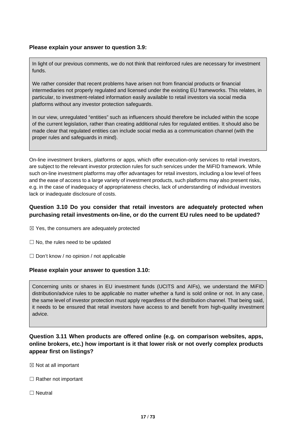#### **Please explain your answer to question 3.9:**

In light of our previous comments, we do not think that reinforced rules are necessary for investment funds.

We rather consider that recent problems have arisen not from financial products or financial intermediaries not properly regulated and licensed under the existing EU frameworks. This relates, in particular, to investment-related information easily available to retail investors via social media platforms without any investor protection safeguards.

In our view, unregulated "entities" such as influencers should therefore be included within the scope of the current legislation, rather than creating additional rules for regulated entities. It should also be made clear that regulated entities can include social media as a communication channel (with the proper rules and safeguards in mind).

On-line investment brokers, platforms or apps, which offer execution-only services to retail investors, are subject to the relevant investor protection rules for such services under the MiFID framework. While such on-line investment platforms may offer advantages for retail investors, including a low level of fees and the ease of access to a large variety of investment products, such platforms may also present risks, e.g. in the case of inadequacy of appropriateness checks, lack of understanding of individual investors lack or inadequate disclosure of costs.

#### **Question 3.10 Do you consider that retail investors are adequately protected when purchasing retail investments on-line, or do the current EU rules need to be updated?**

 $\boxtimes$  Yes, the consumers are adequately protected

- $\Box$  No, the rules need to be updated
- ☐ Don't know / no opinion / not applicable

#### **Please explain your answer to question 3.10:**

Concerning units or shares in EU investment funds (UCITS and AIFs), we understand the MiFID distribution/advice rules to be applicable no matter whether a fund is sold online or not. In any case, the same level of investor protection must apply regardless of the distribution channel. That being said, it needs to be ensured that retail investors have access to and benefit from high-quality investment advice.

## **Question 3.11 When products are offered online (e.g. on comparison websites, apps, online brokers, etc.) how important is it that lower risk or not overly complex products appear first on listings?**

- $\boxtimes$  Not at all important
- □ Rather not important
- □ Neutral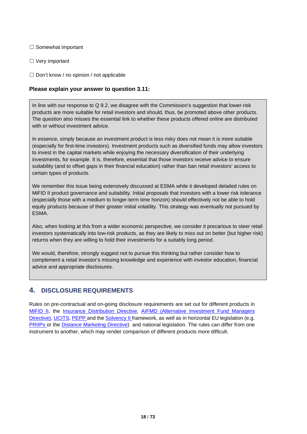#### □ Somewhat important

□ Very important

 $\Box$  Don't know / no opinion / not applicable

#### **Please explain your answer to question 3.11:**

In line with our response to Q 9.2, we disagree with the Commission's suggestion that lower-risk products are more suitable for retail investors and should, thus, be promoted above other products. The question also misses the essential link to whether these products offered online are distributed with or without investment advice.

In essence, simply because an investment product is less risky does not mean it is more suitable (especially for first-time investors). Investment products such as diversified funds may allow investors to invest in the capital markets while enjoying the necessary diversification of their underlying investments, for example. It is, therefore, essential that those investors receive advice to ensure suitability (and to offset gaps in their financial education) rather than ban retail investors' access to certain types of products.

We remember this issue being extensively discussed at ESMA while it developed detailed rules on MiFID II product governance and suitability. Initial proposals that investors with a lower risk tolerance (especially those with a medium to longer-term time horizon) should effectively not be able to hold equity products because of their greater initial volatility. This strategy was eventually not pursued by ESMA.

Also, when looking at this from a wider economic perspective, we consider it precarious to steer retail investors systematically into low-risk products, as they are likely to miss out on better (but higher risk) returns when they are willing to hold their investments for a suitably long period.

We would, therefore, strongly suggest not to pursue this thinking but rather consider how to complement a retail investor's missing knowledge and experience with investor education, financial advice and appropriate disclosures.

## **4. DISCLOSURE REQUIREMENTS**

Rules on pre-contractual and on-going disclosure requirements are set out for different products in [MiFID II,](https://eur-lex.europa.eu/legal-content/EN/TXT/?uri=CELEX%3A32014L0065) the [Insurance Distribution Directive,](https://eur-lex.europa.eu/legal-content/EN/TXT/?uri=CELEX%3A32016L0097) [AIFMD \(Alternative](https://eur-lex.europa.eu/legal-content/EN/TXT/?uri=CELEX%3A32011L0061) [Investment Fund Managers](https://eur-lex.europa.eu/legal-content/EN/TXT/?uri=CELEX%3A32011L0061)  [Directive\),](https://eur-lex.europa.eu/legal-content/EN/TXT/?uri=CELEX%3A32011L0061) [UCITS,](https://eur-lex.europa.eu/legal-content/EN/TXT/?uri=CELEX%3A32009L0065) [PEPP a](https://eur-lex.europa.eu/legal-content/EN/TXT/?uri=CELEX%3A32019R1238)nd the [Solvency II f](https://eur-lex.europa.eu/legal-content/EN/TXT/?uri=CELEX%3A32009L0138)ramework, as well as in horizontal EU legislation (e.g. [PRIIPs](https://eur-lex.europa.eu/legal-content/EN/TXT/?uri=CELEX%3A32014R1286) or the [Distance Marketing Directive\)](https://ec.europa.eu/info/business-economy-euro/banking-and-finance/consumer-finance-and-payments/retail-financial-services/distance-marketing-financial-services_en) and national legislation. The rules can differ from one instrument to another, which may render comparison of different products more difficult.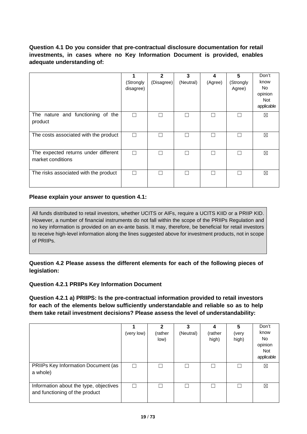## **Question 4.1 Do you consider that pre-contractual disclosure documentation for retail investments, in cases where no Key Information Document is provided, enables adequate understanding of:**

|                                                           | (Strongly<br>disagree) | $\mathbf{2}$<br>(Disagree) | 3<br>(Neutral) | 4<br>(Agree) | 5<br>(Strongly<br>Agree) | Don't<br>know<br>No.<br>opinion<br><b>Not</b><br>applicable |
|-----------------------------------------------------------|------------------------|----------------------------|----------------|--------------|--------------------------|-------------------------------------------------------------|
| The nature and functioning of the<br>product              | П                      | П                          |                |              |                          | ⊠                                                           |
| The costs associated with the product                     | ⊓                      |                            |                |              |                          | ⊠                                                           |
| The expected returns under different<br>market conditions | ⊓                      | П                          |                |              |                          | ⊠                                                           |
| The risks associated with the product                     | $\sim$                 |                            |                |              |                          | ⊠                                                           |

#### **Please explain your answer to question 4.1:**

All funds distributed to retail investors, whether UCITS or AIFs, require a UCITS KIID or a PRIIP KID. However, a number of financial instruments do not fall within the scope of the PRIIPs Regulation and no key information is provided on an ex-ante basis. It may, therefore, be beneficial for retail investors to receive high-level information along the lines suggested above for investment products, not in scope of PRIIPs.

**Question 4.2 Please assess the different elements for each of the following pieces of legislation:**

#### **Question 4.2.1 PRIIPs Key Information Document**

**Question 4.2.1 a) PRIIPS: Is the pre-contractual information provided to retail investors for each of the elements below sufficiently understandable and reliable so as to help them take retail investment decisions? Please assess the level of understandability:**

|                                                                          | (very low) | 2<br>(rather<br>low) | 3<br>(Neutral) | 4<br>(rather<br>high) | 5<br>(very<br>high) | Don't<br>know<br>No.<br>opinion<br>Not<br>applicable |
|--------------------------------------------------------------------------|------------|----------------------|----------------|-----------------------|---------------------|------------------------------------------------------|
| PRIIPs Key Information Document (as<br>a whole)                          | П          |                      |                |                       |                     | ⊠                                                    |
| Information about the type, objectives<br>and functioning of the product | ٦          |                      |                |                       |                     | ⊠                                                    |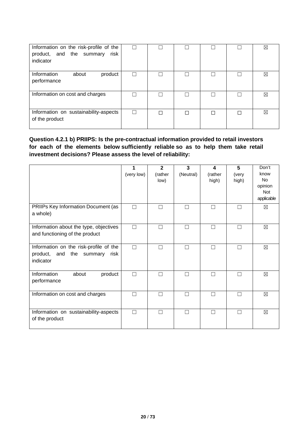| Information on the risk-profile of the<br>product, and the summary<br>risk<br>indicator | П |  |  | ⊠ |
|-----------------------------------------------------------------------------------------|---|--|--|---|
| Information<br>about<br>product<br>performance                                          |   |  |  | ⊠ |
| Information on cost and charges                                                         |   |  |  | ⊠ |
| Information on sustainability-aspects<br>of the product                                 |   |  |  | ⊠ |

## **Question 4.2.1 b) PRIIPS: Is the pre-contractual information provided to retail investors for each of the elements below sufficiently reliable so as to help them take retail investment decisions? Please assess the level of reliability:**

|                                                                                            | 1<br>(very low) | $\overline{2}$<br>(rather<br>low) | 3<br>(Neutral) | 4<br>(rather<br>high) | 5<br>(very<br>high) | Don't<br>know<br><b>No</b><br>opinion<br><b>Not</b><br>applicable |
|--------------------------------------------------------------------------------------------|-----------------|-----------------------------------|----------------|-----------------------|---------------------|-------------------------------------------------------------------|
| PRIIPs Key Information Document (as<br>a whole)                                            | П               |                                   | П              | $\Box$                |                     | $\boxtimes$                                                       |
| Information about the type, objectives<br>and functioning of the product                   | П               | П                                 | $\Box$         | $\Box$                | $\Box$              | ⊠                                                                 |
| Information on the risk-profile of the<br>product, and<br>the summary<br>risk<br>indicator | П               |                                   | П              | П                     |                     | $\boxtimes$                                                       |
| Information<br>about<br>product<br>performance                                             | П               |                                   | П              | Г                     |                     | $\boxtimes$                                                       |
| Information on cost and charges                                                            | П               |                                   | П              | П                     |                     | $\boxtimes$                                                       |
| Information on sustainability-aspects<br>of the product                                    | П               |                                   |                | П                     |                     | $\boxtimes$                                                       |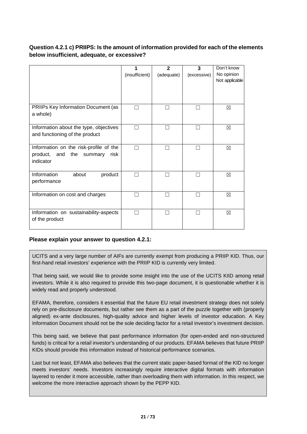## **Question 4.2.1 c) PRIIPS: Is the amount of information provided for each of the elements below insufficient, adequate, or excessive?**

|                                                                                               | (insufficient) | $\mathbf{2}$<br>(adequate) | 3<br>(excessive) | Don't know<br>No opinion<br>Not applicable |
|-----------------------------------------------------------------------------------------------|----------------|----------------------------|------------------|--------------------------------------------|
| PRIIPs Key Information Document (as<br>a whole)                                               |                |                            |                  | ⊠                                          |
| Information about the type, objectives<br>and functioning of the product                      |                |                            |                  | $\boxtimes$                                |
| Information on the risk-profile of the<br>product,<br>the summary<br>and<br>risk<br>indicator |                |                            |                  | ⊠                                          |
| Information<br>about<br>product<br>performance                                                | $\mathcal{L}$  |                            |                  | ⊠                                          |
| Information on cost and charges                                                               |                |                            |                  | ⊠                                          |
| Information on sustainability-aspects<br>of the product                                       |                |                            |                  | ⊠                                          |

#### **Please explain your answer to question 4.2.1:**

UCITS and a very large number of AIFs are currently exempt from producing a PRIIP KID. Thus, our first-hand retail investors' experience with the PRIIP KID is currently very limited.

That being said, we would like to provide some insight into the use of the UCITS KIID among retail investors. While it is also required to provide this two-page document, it is questionable whether it is widely read and properly understood.

EFAMA, therefore, considers it essential that the future EU retail investment strategy does not solely rely on pre-disclosure documents, but rather see them as a part of the puzzle together with (properly aligned) ex-ante disclosures, high-quality advice and higher levels of investor education. A Key Information Document should not be the sole deciding factor for a retail investor's investment decision.

This being said, we believe that past performance information (for open-ended and non-structured funds) is critical for a retail investor's understanding of our products. EFAMA believes that future PRIIP KIDs should provide this information instead of historical performance scenarios.

Last but not least, EFAMA also believes that the current static paper-based format of the KID no longer meets investors' needs. Investors increasingly require interactive digital formats with information layered to render it more accessible, rather than overloading them with information. In this respect, we welcome the more interactive approach shown by the PEPP KID.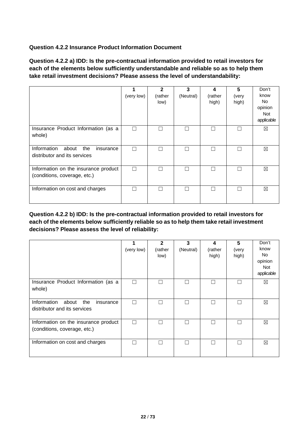## **Question 4.2.2 Insurance Product Information Document**

**Question 4.2.2 a) IDD: Is the pre-contractual information provided to retail investors for each of the elements below sufficiently understandable and reliable so as to help them take retail investment decisions? Please assess the level of understandability:**

|                                                                          | (very low) | $\mathbf{2}$<br>(rather<br>low) | 3<br>(Neutral) | 4<br>(rather<br>high) | 5<br>(very<br>high) | Don't<br>know<br>No.<br>opinion<br><b>Not</b><br>applicable |
|--------------------------------------------------------------------------|------------|---------------------------------|----------------|-----------------------|---------------------|-------------------------------------------------------------|
| Insurance Product Information (as a<br>whole)                            |            |                                 |                |                       |                     | ⊠                                                           |
| Information<br>about<br>the<br>insurance<br>distributor and its services | ┌─         | ┓                               | П              |                       |                     | ⊠                                                           |
| Information on the insurance product<br>(conditions, coverage, etc.)     |            |                                 |                |                       |                     | ⊠                                                           |
| Information on cost and charges                                          |            |                                 |                |                       |                     | ⊠                                                           |

**Question 4.2.2 b) IDD: Is the pre-contractual information provided to retail investors for each of the elements below sufficiently reliable so as to help them take retail investment decisions? Please assess the level of reliability:**

|                                                                          | (very low) | $\mathbf{2}$<br>(rather<br>low) | 3<br>(Neutral) | 4<br>(rather<br>high) | 5<br>(very<br>high) | Don't<br>know<br>No.<br>opinion<br><b>Not</b><br>applicable |
|--------------------------------------------------------------------------|------------|---------------------------------|----------------|-----------------------|---------------------|-------------------------------------------------------------|
| Insurance Product Information (as a<br>whole)                            |            |                                 |                |                       |                     | ⊠                                                           |
| Information<br>about<br>the<br>insurance<br>distributor and its services | □          | ┓                               | $\mathsf{L}$   |                       |                     | ⊠                                                           |
| Information on the insurance product<br>(conditions, coverage, etc.)     |            |                                 |                |                       |                     | ⊠                                                           |
| Information on cost and charges                                          | Π          | ┓                               | П              |                       |                     | $\boxtimes$                                                 |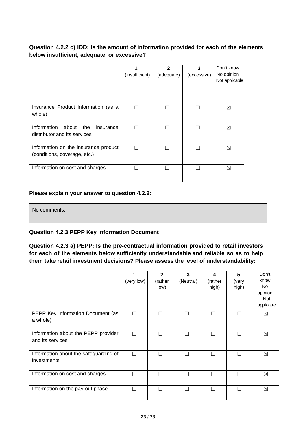## **Question 4.2.2 c) IDD: Is the amount of information provided for each of the elements below insufficient, adequate, or excessive?**

|                                                                          | (insufficient) | $\mathbf{2}$<br>(adequate) | 3<br>(excessive) | Don't know<br>No opinion<br>Not applicable |
|--------------------------------------------------------------------------|----------------|----------------------------|------------------|--------------------------------------------|
| Insurance Product Information (as a<br>whole)                            |                |                            |                  | ⊠                                          |
| Information<br>about<br>the<br>insurance<br>distributor and its services |                |                            |                  | ⊠                                          |
| Information on the insurance product<br>(conditions, coverage, etc.)     |                |                            |                  | ⊠                                          |
| Information on cost and charges                                          |                |                            |                  | ⊠                                          |

#### **Please explain your answer to question 4.2.2:**

No comments.

## **Question 4.2.3 PEPP Key Information Document**

**Question 4.2.3 a) PEPP: Is the pre-contractual information provided to retail investors for each of the elements below sufficiently understandable and reliable so as to help them take retail investment decisions? Please assess the level of understandability:**

|                                                         | (very low) | $\mathbf{2}$<br>(rather<br>low) | 3<br>(Neutral) | 4<br>(rather<br>high) | 5<br>(very<br>high) | Don't<br>know<br>No.<br>opinion<br>Not<br>applicable |
|---------------------------------------------------------|------------|---------------------------------|----------------|-----------------------|---------------------|------------------------------------------------------|
| PEPP Key Information Document (as<br>a whole)           | П          | $\mathcal{L}$                   |                |                       | Г                   | $\boxtimes$                                          |
| Information about the PEPP provider<br>and its services | п          |                                 |                |                       | L                   | ⊠                                                    |
| Information about the safeguarding of<br>investments    | П          | П                               |                |                       | П                   | $\boxtimes$                                          |
| Information on cost and charges                         |            |                                 |                |                       |                     | ⊠                                                    |
| Information on the pay-out phase                        | ┓          | П                               |                |                       | П                   | ⊠                                                    |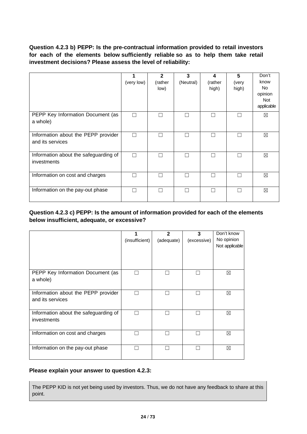**Question 4.2.3 b) PEPP: Is the pre-contractual information provided to retail investors for each of the elements below sufficiently reliable so as to help them take retail investment decisions? Please assess the level of reliability:**

|                                                         | (very low) | $\mathbf{2}$<br>(rather<br>low) | 3<br>(Neutral) | 4<br>(rather<br>high) | 5<br>(very<br>high) | Don't<br>know<br><b>No</b><br>opinion<br><b>Not</b><br>applicable |
|---------------------------------------------------------|------------|---------------------------------|----------------|-----------------------|---------------------|-------------------------------------------------------------------|
| PEPP Key Information Document (as<br>a whole)           | П          | П                               |                | ┍                     |                     | $\boxtimes$                                                       |
| Information about the PEPP provider<br>and its services | П          | П                               |                | ┍                     |                     | ⊠                                                                 |
| Information about the safeguarding of<br>investments    | П          | П                               |                | Г                     |                     | $\boxtimes$                                                       |
| Information on cost and charges                         |            |                                 |                |                       |                     | ⊠                                                                 |
| Information on the pay-out phase                        | П          | П                               |                | ┍                     | L                   | ⊠                                                                 |

## **Question 4.2.3 c) PEPP: Is the amount of information provided for each of the elements below insufficient, adequate, or excessive?**

|                                                         | (insufficient) | $\mathbf{2}$<br>(adequate) | 3<br>(excessive) | Don't know<br>No opinion<br>Not applicable |
|---------------------------------------------------------|----------------|----------------------------|------------------|--------------------------------------------|
| PEPP Key Information Document (as<br>a whole)           |                | H                          |                  | ⊠                                          |
| Information about the PEPP provider<br>and its services | П              | П                          | L                | ⊠                                          |
| Information about the safeguarding of<br>investments    |                |                            |                  | ⊠                                          |
| Information on cost and charges                         |                |                            |                  | ⊠                                          |
| Information on the pay-out phase                        |                | H                          |                  | ⊠                                          |

#### **Please explain your answer to question 4.2.3:**

The PEPP KID is not yet being used by investors. Thus, we do not have any feedback to share at this point.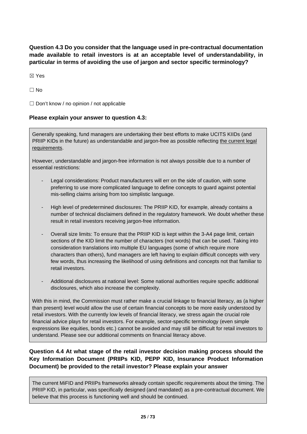**Question 4.3 Do you consider that the language used in pre-contractual documentation made available to retail investors is at an acceptable level of understandability, in particular in terms of avoiding the use of jargon and sector specific terminology?**

☒ Yes

 $\Box$  No

 $\Box$  Don't know / no opinion / not applicable

#### **Please explain your answer to question 4.3:**

Generally speaking, fund managers are undertaking their best efforts to make UCITS KIIDs (and PRIIP KIDs in the future) as understandable and jargon-free as possible reflecting the current legal requirements.

However, understandable and jargon-free information is not always possible due to a number of essential restrictions:

- Legal considerations: Product manufacturers will err on the side of caution, with some preferring to use more complicated language to define concepts to guard against potential mis-selling claims arising from too simplistic language.
- High level of predetermined disclosures: The PRIIP KID, for example, already contains a number of technical disclaimers defined in the regulatory framework. We doubt whether these result in retail investors receiving jargon-free information.
- Overall size limits: To ensure that the PRIIP KID is kept within the 3-A4 page limit, certain sections of the KID limit the number of characters (not words) that can be used. Taking into consideration translations into multiple EU languages (some of which require more characters than others), fund managers are left having to explain difficult concepts with very few words, thus increasing the likelihood of using definitions and concepts not that familiar to retail investors.
- Additional disclosures at national level: Some national authorities require specific additional disclosures, which also increase the complexity.

With this in mind, the Commission must rather make a crucial linkage to financial literacy, as (a higher than present) level would allow the use of certain financial concepts to be more easily understood by retail investors. With the currently low levels of financial literacy, we stress again the crucial role financial advice plays for retail investors. For example, sector-specific terminology (even simple expressions like equities, bonds etc.) cannot be avoided and may still be difficult for retail investors to understand. Please see our additional comments on financial literacy above.

## **Question 4.4 At what stage of the retail investor decision making process should the Key Information Document (PRIIPs KID, PEPP KID, Insurance Product Information Document) be provided to the retail investor? Please explain your answer**

The current MiFID and PRIIPs frameworks already contain specific requirements about the timing. The PRIIP KID, in particular, was specifically designed (and mandated) as a pre-contractual document. We believe that this process is functioning well and should be continued.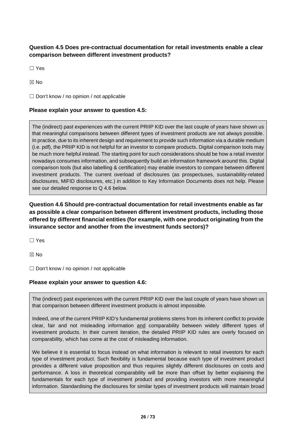## **Question 4.5 Does pre-contractual documentation for retail investments enable a clear comparison between different investment products?**

☐ Yes

☒ No

 $\Box$  Don't know / no opinion / not applicable

#### **Please explain your answer to question 4.5:**

The (indirect) past experiences with the current PRIIP KID over the last couple of years have shown us that meaningful comparisons between different types of investment products are not always possible. In practice, due to its inherent design and requirement to provide such information via a durable medium (i.e. pdf), the PRIIP KID is not helpful for an investor to compare products. Digital comparison tools may be much more helpful instead. The starting point for such considerations should be how a retail investor nowadays consumes information, and subsequently build an information framework around this. Digital comparison tools (but also labelling & certification) may enable investors to compare between different investment products. The current overload of disclosures (as prospectuses, sustainability-related disclosures, MiFID disclosures, etc.) in addition to Key Information Documents does not help. Please see our detailed response to Q 4.6 below.

**Question 4.6 Should pre-contractual documentation for retail investments enable as far as possible a clear comparison between different investment products, including those offered by different financial entities (for example, with one product originating from the insurance sector and another from the investment funds sectors)?**

☐ Yes

☒ No

 $\Box$  Don't know / no opinion / not applicable

#### **Please explain your answer to question 4.6:**

The (indirect) past experiences with the current PRIIP KID over the last couple of years have shown us that comparison between different investment products is almost impossible.

Indeed, one of the current PRIIP KID's fundamental problems stems from its inherent conflict to provide clear, fair and not misleading information and comparability between widely different types of investment products. In their current iteration, the detailed PRIIP KID rules are overly focused on comparability, which has come at the cost of misleading information.

We believe it is essential to focus instead on what information is relevant to retail investors for each type of investment product. Such flexibility is fundamental because each type of investment product provides a different value proposition and thus requires slightly different disclosures on costs and performance. A loss in theoretical comparability will be more than offset by better explaining the fundamentals for each type of investment product and providing investors with more meaningful information. Standardising the disclosures for similar types of investment products will maintain broad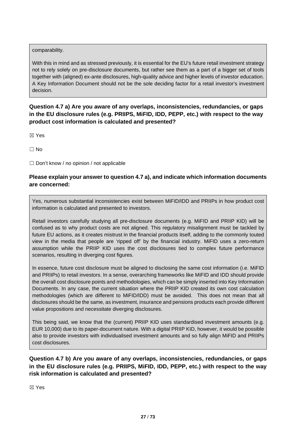#### comparability.

With this in mind and as stressed previously, it is essential for the EU's future retail investment strategy not to rely solely on pre-disclosure documents, but rather see them as a part of a bigger set of tools together with (aligned) ex-ante disclosures, high-quality advice and higher levels of investor education. A Key Information Document should not be the sole deciding factor for a retail investor's investment decision.

**Question 4.7 a) Are you aware of any overlaps, inconsistencies, redundancies, or gaps in the EU disclosure rules (e.g. PRIIPS, MiFID, IDD, PEPP, etc.) with respect to the way product cost information is calculated and presented?**

☒ Yes

 $\Box$  No

 $\Box$  Don't know / no opinion / not applicable

## **Please explain your answer to question 4.7 a), and indicate which information documents are concerned:**

Yes, numerous substantial inconsistencies exist between MiFID/IDD and PRIIPs in how product cost information is calculated and presented to investors.

Retail investors carefully studying all pre-disclosure documents (e.g. MiFID and PRIIP KID) will be confused as to why product costs are not aligned. This regulatory misalignment must be tackled by future EU actions, as it creates mistrust in the financial products itself, adding to the commonly touted view in the media that people are 'ripped off' by the financial industry. MiFID uses a zero-return assumption while the PRIIP KID uses the cost disclosures tied to complex future performance scenarios, resulting in diverging cost figures.

In essence, future cost disclosure must be aligned to disclosing the same cost information (i.e. MiFID and PRIIPs) to retail investors. In a sense, overarching frameworks like MiFID and IDD should provide the overall cost disclosure points and methodologies, which can be simply inserted into Key Information Documents. In any case, the current situation where the PRIIP KID created its own cost calculation methodologies (which are different to MiFID/IDD) must be avoided. This does not mean that all disclosures should be the same, as investment, insurance and pensions products each provide different value propositions and necessitate diverging disclosures.

This being said, we know that the (current) PRIIP KID uses standardised investment amounts (e.g. EUR 10,000) due to its paper-document nature. With a digital PRIIP KID, however, it would be possible also to provide investors with individualised investment amounts and so fully align MiFID and PRIIPs cost disclosures.

## **Question 4.7 b) Are you aware of any overlaps, inconsistencies, redundancies, or gaps in the EU disclosure rules (e.g. PRIIPS, MiFID, IDD, PEPP, etc.) with respect to the way risk information is calculated and presented?**

☒ Yes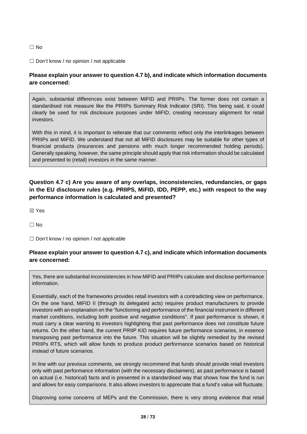#### ☐ No

#### ☐ Don't know / no opinion / not applicable

## **Please explain your answer to question 4.7 b), and indicate which information documents are concerned:**

Again, substantial differences exist between MiFID and PRIIPs. The former does not contain a standardised risk measure like the PRIIPs Summary Risk Indicator (SRI). This being said, it could clearly be used for risk disclosure purposes under MiFID, creating necessary alignment for retail investors.

With this in mind, it is important to reiterate that our comments reflect only the interlinkages between PRIIPs and MiFID. We understand that not all MiFID disclosures may be suitable for other types of financial products (insurances and pensions with much longer recommended holding periods). Generally speaking, however, the same principle should apply that risk information should be calculated and presented to (retail) investors in the same manner.

## **Question 4.7 c) Are you aware of any overlaps, inconsistencies, redundancies, or gaps in the EU disclosure rules (e.g. PRIIPS, MiFID, IDD, PEPP, etc.) with respect to the way performance information is calculated and presented?**

☒ Yes

 $\Box$  No

 $\Box$  Don't know / no opinion / not applicable

#### **Please explain your answer to question 4.7 c), and indicate which information documents are concerned:**

Yes, there are substantial inconsistencies in how MiFID and PRIIPs calculate and disclose performance information.

Essentially, each of the frameworks provides retail investors with a contradicting view on performance. On the one hand, MiFID II (through its delegated acts) requires product manufacturers to provide investors with an explanation on the "functioning and performance of the financial instrument in different market conditions, including both positive and negative conditions". If past performance is shown, it must carry a clear warning to investors highlighting that past performance does not constitute future returns. On the other hand, the current PRIIP KID requires future performance scenarios, in essence transposing past performance into the future. This situation will be slightly remedied by the revised PRIIPs RTS, which will allow funds to produce product performance scenarios based on historical instead of future scenarios.

In line with our previous comments, we strongly recommend that funds should provide retail investors only with past performance information (with the necessary disclaimers), as past performance is based on actual (i.e. historical) facts and is presented in a standardised way that shows how the fund is run and allows for easy comparisons. It also allows investors to appreciate that a fund's value will fluctuate.

Disproving some concerns of MEPs and the Commission, there is very strong evidence that retail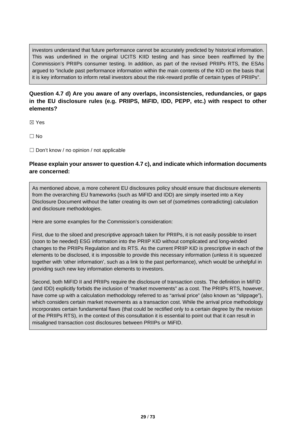investors understand that future performance cannot be accurately predicted by historical information. This was underlined in the original UCITS KIID testing and has since been reaffirmed by the Commission's PRIIPs consumer testing. In addition, as part of the revised PRIIPs RTS, the ESAs argued to "include past performance information within the main contents of the KID on the basis that it is key information to inform retail investors about the risk-reward profile of certain types of PRIIPs".

## **Question 4.7 d) Are you aware of any overlaps, inconsistencies, redundancies, or gaps in the EU disclosure rules (e.g. PRIIPS, MiFID, IDD, PEPP, etc.) with respect to other elements?**

☒ Yes

 $\Box$  No

 $\Box$  Don't know / no opinion / not applicable

## **Please explain your answer to question 4.7 c), and indicate which information documents are concerned:**

As mentioned above, a more coherent EU disclosures policy should ensure that disclosure elements from the overarching EU frameworks (such as MiFID and IDD) are simply inserted into a Key Disclosure Document without the latter creating its own set of (sometimes contradicting) calculation and disclosure methodologies.

Here are some examples for the Commission's consideration:

First, due to the siloed and prescriptive approach taken for PRIIPs, it is not easily possible to insert (soon to be needed) ESG information into the PRIIP KID without complicated and long-winded changes to the PRIIPs Regulation and its RTS. As the current PRIIP KID is prescriptive in each of the elements to be disclosed, it is impossible to provide this necessary information (unless it is squeezed together with 'other information', such as a link to the past performance), which would be unhelpful in providing such new key information elements to investors.

Second, both MiFID II and PRIIPs require the disclosure of transaction costs. The definition in MiFID (and IDD) explicitly forbids the inclusion of "market movements" as a cost. The PRIIPs RTS, however, have come up with a calculation methodology referred to as "arrival price" (also known as "slippage"), which considers certain market movements as a transaction cost. While the arrival price methodology incorporates certain fundamental flaws (that could be rectified only to a certain degree by the revision of the PRIIPs RTS), in the context of this consultation it is essential to point out that it can result in misaligned transaction cost disclosures between PRIIPs or MiFID.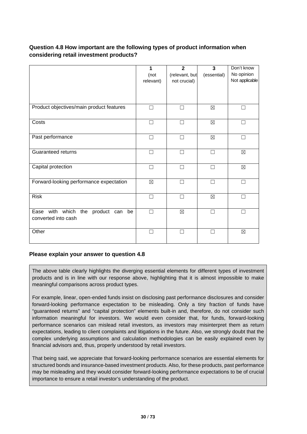## **Question 4.8 How important are the following types of product information when considering retail investment products?**

|                                                              | 1<br>(not<br>relevant) | $\mathbf{2}$<br>(relevant, but<br>not crucial) | $\mathbf{3}$<br>(essential) | Don't know<br>No opinion<br>Not applicable |
|--------------------------------------------------------------|------------------------|------------------------------------------------|-----------------------------|--------------------------------------------|
| Product objectives/main product features                     | П                      | П                                              | ⊠                           | ┐                                          |
| Costs                                                        | П                      | П                                              | $\boxtimes$                 | □                                          |
| Past performance                                             | П                      | П                                              | $\boxtimes$                 | П                                          |
| Guaranteed returns                                           | $\Box$                 | $\Box$                                         | П                           | $\boxtimes$                                |
| Capital protection                                           |                        |                                                |                             | $\boxtimes$                                |
| Forward-looking performance expectation                      | $\boxtimes$            | П                                              |                             | ┐                                          |
| <b>Risk</b>                                                  | П                      | П                                              | $\boxtimes$                 | ┐                                          |
| Ease with which the product can<br>be<br>converted into cash | П                      | $\boxtimes$                                    | П                           | П                                          |
| Other                                                        |                        | П                                              |                             | $\boxtimes$                                |

## **Please explain your answer to question 4.8**

The above table clearly highlights the diverging essential elements for different types of investment products and is in line with our response above, highlighting that it is almost impossible to make meaningful comparisons across product types.

For example, linear, open-ended funds insist on disclosing past performance disclosures and consider forward-looking performance expectation to be misleading. Only a tiny fraction of funds have "guaranteed returns" and "capital protection" elements built-in and, therefore, do not consider such information meaningful for investors. We would even consider that, for funds, forward-looking performance scenarios can mislead retail investors, as investors may misinterpret them as return expectations, leading to client complaints and litigations in the future. Also, we strongly doubt that the complex underlying assumptions and calculation methodologies can be easily explained even by financial advisors and, thus, properly understood by retail investors.

That being said, we appreciate that forward-looking performance scenarios are essential elements for structured bonds and insurance-based investment products. Also, for these products, past performance may be misleading and they would consider forward-looking performance expectations to be of crucial importance to ensure a retail investor's understanding of the product.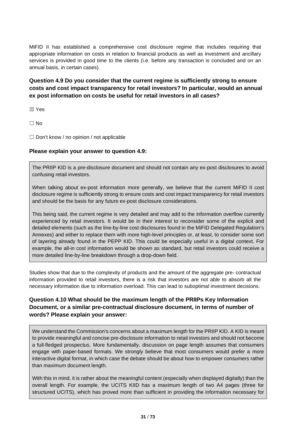MiFID II has established a comprehensive cost disclosure regime that includes requiring that appropriate information on costs in relation to financial products as well as investment and ancillary services is provided in good time to the clients (i.e. before any transaction is concluded and on an annual basis, in certain cases).

**Question 4.9 Do you consider that the current regime is sufficiently strong to ensure costs and cost impact transparency for retail investors? In particular, would an annual ex post information on costs be useful for retail investors in all cases?**

☒ Yes

 $\Box$  No

 $\Box$  Don't know / no opinion / not applicable

#### **Please explain your answer to question 4.9:**

The PRIIP KID is a pre-disclosure document and should not contain any ex-post disclosures to avoid confusing retail investors.

When talking about ex-post information more generally, we believe that the current MiFID II cost disclosure regime is sufficiently strong to ensure costs and cost impact transparency for retail investors and should be the basis for any future ex-post disclosure considerations.

This being said, the current regime is very detailed and may add to the information overflow currently experienced by retail investors. It would be in their interest to reconsider some of the explicit and detailed elements (such as the line-by-line cost disclosures found in the MiFID Delegated Regulation's Annexes) and either to replace them with more high-level principles or, at least, to consider some sort of layering already found in the PEPP KID. This could be especially useful in a digital context. For example, the all-in cost information would be shown as standard, but retail investors could receive a more detailed line-by-line breakdown through a drop-down field.

Studies show that due to the complexity of products and the amount of the aggregate pre- contractual information provided to retail investors, there is a risk that investors are not able to absorb all the necessary information due to information overload. This can lead to suboptimal investment decisions.

## **Question 4.10 What should be the maximum length of the PRIIPs Key Information Document, or a similar pre-contractual disclosure document, in terms of number of words? Please explain your answer:**

We understand the Commission's concerns about a maximum length for the PRIIP KID. A KID is meant to provide meaningful and concise pre-disclosure information to retail investors and should not become a full-fledged prospectus. More fundamentally, discussion on page length assumes that consumers engage with paper-based formats. We strongly believe that most consumers would prefer a more interactive digital format, in which case the debate should be about how to empower consumers rather than maximum document length.

With this in mind, it is rather about the meaningful content (especially when displayed digitally) than the overall length. For example, the UCITS KIID has a maximum length of two A4 pages (three for structured UCITS), which has proved more than sufficient in providing the information necessary for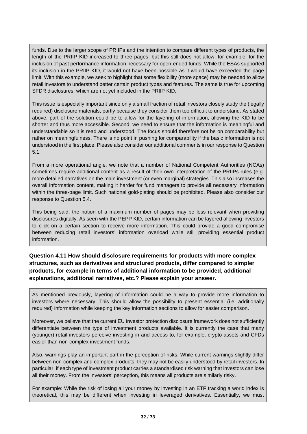funds. Due to the larger scope of PRIIPs and the intention to compare different types of products, the length of the PRIIP KID increased to three pages, but this still does not allow, for example, for the inclusion of past performance information necessary for open-ended funds. While the ESAs supported its inclusion in the PRIIP KID, it would not have been possible as it would have exceeded the page limit. With this example, we seek to highlight that some flexibility (more space) may be needed to allow retail investors to understand better certain product types and features. The same is true for upcoming SFDR disclosures, which are not yet included in the PRIIP KID.

This issue is especially important since only a small fraction of retail investors closely study the (legally required) disclosure materials, partly because they consider them too difficult to understand. As stated above, part of the solution could be to allow for the layering of information, allowing the KID to be shorter and thus more accessible. Second, we need to ensure that the information is meaningful and understandable so it is read and understood. The focus should therefore not be on comparability but rather on meaningfulness. There is no point in pushing for comparability if the basic information is not understood in the first place. Please also consider our additional comments in our response to Question 5.1.

From a more operational angle, we note that a number of National Competent Authorities (NCAs) sometimes require additional content as a result of their own interpretation of the PRIIPs rules (e.g. more detailed narratives on the main investment (or even marginal) strategies. This also increases the overall information content, making it harder for fund managers to provide all necessary information within the three-page limit. Such national gold-plating should be prohibited. Please also consider our response to Question 5.4.

This being said, the notion of a maximum number of pages may be less relevant when providing disclosures digitally. As seen with the PEPP KID, certain information can be layered allowing investors to click on a certain section to receive more information. This could provide a good compromise between reducing retail investors' information overload while still providing essential product information.

## **Question 4.11 How should disclosure requirements for products with more complex structures, such as derivatives and structured products, differ compared to simpler products, for example in terms of additional information to be provided, additional explanations, additional narratives, etc.? Please explain your answer.**

As mentioned previously, layering of information could be a way to provide more information to investors where necessary. This should allow the possibility to present essential (i.e. additionally required) information while keeping the key information sections to allow for easier comparison.

Moreover, we believe that the current EU investor protection disclosure framework does not sufficiently differentiate between the type of investment products available. It is currently the case that many (younger) retail investors perceive investing in and access to, for example, crypto-assets and CFDs easier than non-complex investment funds.

Also, warnings play an important part in the perception of risks. While current warnings slightly differ between non-complex and complex products, they may not be easily understood by retail investors. In particular, if each type of investment product carries a standardised risk warning that investors can lose all their money. From the investors' perception, this means all products are similarly risky.

For example: While the risk of losing all your money by investing in an ETF tracking a world index is theoretical, this may be different when investing in leveraged derivatives. Essentially, we must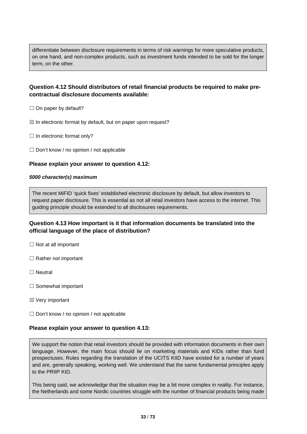differentiate between disclosure requirements in terms of risk warnings for more speculative products, on one hand, and non-complex products, such as investment funds intended to be sold for the longer term, on the other.

## **Question 4.12 Should distributors of retail financial products be required to make precontractual disclosure documents available:**

- $\Box$  On paper by default?
- $\boxtimes$  In electronic format by default, but on paper upon request?
- □ In electronic format only?
- ☐ Don't know / no opinion / not applicable

#### **Please explain your answer to question 4.12:**

#### *5000 character(s) maximum*

The recent MiFID 'quick fixes' established electronic disclosure by default, but allow investors to request paper disclosure. This is essential as not all retail investors have access to the internet. This guiding principle should be extended to all disclosures requirements.

#### **Question 4.13 How important is it that information documents be translated into the official language of the place of distribution?**

- $\Box$  Not at all important
- □ Rather not important
- ☐ Neutral
- □ Somewhat important
- ☒ Very important
- □ Don't know / no opinion / not applicable

#### **Please explain your answer to question 4.13:**

We support the notion that retail investors should be provided with information documents in their own language. However, the main focus should lie on marketing materials and KIDs rather than fund prospectuses. Rules regarding the translation of the UCITS KIID have existed for a number of years and are, generally speaking, working well. We understand that the same fundamental principles apply to the PRIIP KID.

This being said, we acknowledge that the situation may be a bit more complex in reality. For instance, the Netherlands and some Nordic countries struggle with the number of financial products being made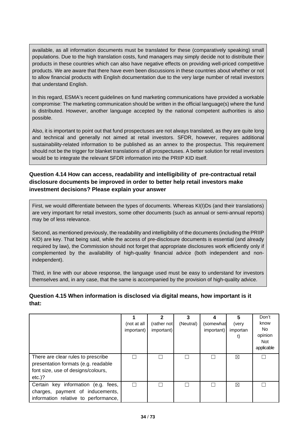available, as all information documents must be translated for these (comparatively speaking) small populations. Due to the high translation costs, fund managers may simply decide not to distribute their products in these countries which can also have negative effects on providing well-priced competitive products. We are aware that there have even been discussions in these countries about whether or not to allow financial products with English documentation due to the very large number of retail investors that understand English.

In this regard, ESMA's recent guidelines on fund marketing communications have provided a workable compromise: The marketing communication should be written in the official language(s) where the fund is distributed. However, another language accepted by the national competent authorities is also possible.

Also, it is important to point out that fund prospectuses are not always translated, as they are quite long and technical and generally not aimed at retail investors. SFDR, however, requires additional sustainability-related information to be published as an annex to the prospectus. This requirement should not be the trigger for blanket translations of all prospectuses. A better solution for retail investors would be to integrate the relevant SFDR information into the PRIIP KID itself.

## **Question 4.14 How can access, readability and intelligibility of pre-contractual retail disclosure documents be improved in order to better help retail investors make investment decisions? Please explain your answer**

First, we would differentiate between the types of documents. Whereas KI(I)Ds (and their translations) are very important for retail investors, some other documents (such as annual or semi-annual reports) may be of less relevance.

Second, as mentioned previously, the readability and intelligibility of the documents (including the PRIIP KID) are key. That being said, while the access of pre-disclosure documents is essential (and already required by law), the Commission should not forget that appropriate disclosures work efficiently only if complemented by the availability of high-quality financial advice (both independent and nonindependent).

Third, in line with our above response, the language used must be easy to understand for investors themselves and, in any case, that the same is accompanied by the provision of high-quality advice.

#### **Question 4.15 When information is disclosed via digital means, how important is it that:**

|                                                                                                                              | (not at all<br>important) | 2<br>(rather not<br>important) | 3<br>(Neutral) | (somewhat<br>important) | 5<br>(very<br>importan<br>t) | Don't<br>know<br>No.<br>opinion<br><b>Not</b><br>applicable |
|------------------------------------------------------------------------------------------------------------------------------|---------------------------|--------------------------------|----------------|-------------------------|------------------------------|-------------------------------------------------------------|
| There are clear rules to prescribe<br>presentation formats (e.g. readable<br>font size, use of designs/colours,<br>$etc.$ )? |                           |                                |                |                         | ⊠                            |                                                             |
| Certain key information (e.g. fees,<br>charges, payment of inducements,<br>information relative to performance,              |                           |                                |                |                         | $\boxtimes$                  |                                                             |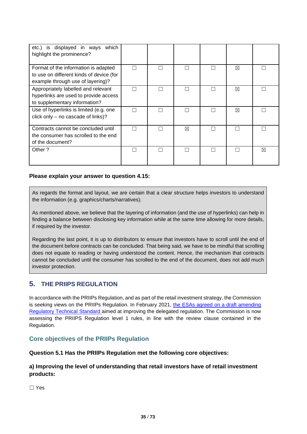| etc.) is displayed in ways which<br>highlight the prominence?                                                         |        |   |    |   |
|-----------------------------------------------------------------------------------------------------------------------|--------|---|----|---|
| Format of the information is adapted<br>to use on different kinds of device (for<br>example through use of layering)? |        |   | ⊠  |   |
| Appropriately labelled and relevant<br>hyperlinks are used to provide access<br>to supplementary information?         | L      |   | ⊠  | L |
| Use of hyperlinks is limited (e.g. one<br>click only - no cascade of links)?                                          | $\Box$ |   | ⊠  |   |
| Contracts cannot be concluded until<br>the consumer has scrolled to the end<br>of the document?                       |        | ⊠ | L. |   |
| Other?                                                                                                                |        |   |    | ⊠ |

#### **Please explain your answer to question 4.15:**

As regards the format and layout, we are certain that a clear structure helps investors to understand the information (e.g. graphics/charts/narratives).

As mentioned above, we believe that the layering of information (and the use of hyperlinks) can help in finding a balance between disclosing key information while at the same time allowing for more details, if required by the investor.

Regarding the last point, it is up to distributors to ensure that investors have to scroll until the end of the document before contracts can be concluded. That being said, we have to be mindful that scrolling does not equate to reading or having understood the content. Hence, the mechanism that contracts cannot be concluded until the consumer has scrolled to the end of the document, does not add much investor protection.

## **5. THE PRIIPS REGULATION**

In accordance with the PRIIPs Regulation, and as part of the retail investment strategy, the Commission is seeking views on the PRIIPs Regulation. In February 2021, [the ESAs](https://www.esma.europa.eu/sites/default/files/library/jc_2021_13_letter_to_the_european_commission_priips.pdf) agreed on a draft amending [Regulatory Technical Standard](https://www.esma.europa.eu/sites/default/files/library/jc_2021_13_letter_to_the_european_commission_priips.pdf) aimed at improving the delegated regulation. The Commission is now assessing the PRIIPS Regulation level 1 rules, in line with the review clause contained in the Regulation.

## **Core objectives of the PRIIPs Regulation**

**Question 5.1 Has the PRIIPs Regulation met the following core objectives:**

#### **a) Improving the level of understanding that retail investors have of retail investment products:**

☐ Yes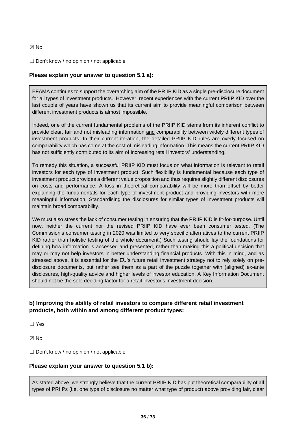#### ☒ No

#### ☐ Don't know / no opinion / not applicable

#### **Please explain your answer to question 5.1 a):**

EFAMA continues to support the overarching aim of the PRIIP KID as a single pre-disclosure document for all types of investment products. However, recent experiences with the current PRIIP KID over the last couple of years have shown us that its current aim to provide meaningful comparison between different investment products is almost impossible.

Indeed, one of the current fundamental problems of the PRIIP KID stems from its inherent conflict to provide clear, fair and not misleading information and comparability between widely different types of investment products. In their current iteration, the detailed PRIIP KID rules are overly focused on comparability which has come at the cost of misleading information. This means the current PRIIP KID has not sufficiently contributed to its aim of increasing retail investors' understanding.

To remedy this situation, a successful PRIIP KID must focus on what information is relevant to retail investors for each type of investment product. Such flexibility is fundamental because each type of investment product provides a different value proposition and thus requires slightly different disclosures on costs and performance. A loss in theoretical comparability will be more than offset by better explaining the fundamentals for each type of investment product and providing investors with more meaningful information. Standardising the disclosures for similar types of investment products will maintain broad comparability.

We must also stress the lack of consumer testing in ensuring that the PRIIP KID is fit-for-purpose. Until now, neither the current nor the revised PRIIP KID have ever been consumer tested. (The Commission's consumer testing in 2020 was limited to very specific alternatives to the current PRIIP KID rather than holistic testing of the whole document.) Such testing should lay the foundations for defining how information is accessed and presented, rather than making this a political decision that may or may not help investors in better understanding financial products. With this in mind, and as stressed above, it is essential for the EU's future retail investment strategy not to rely solely on predisclosure documents, but rather see them as a part of the puzzle together with (aligned) ex-ante disclosures, high-quality advice and higher levels of investor education. A Key Information Document should not be the sole deciding factor for a retail investor's investment decision.

## **b) Improving the ability of retail investors to compare different retail investment products, both within and among different product types:**

☐ Yes

☒ No

 $\Box$  Don't know / no opinion / not applicable

#### **Please explain your answer to question 5.1 b):**

As stated above, we strongly believe that the current PRIIP KID has put theoretical comparability of all types of PRIIPs (i.e. one type of disclosure no matter what type of product) above providing fair, clear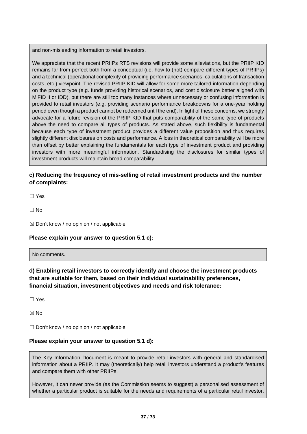and non-misleading information to retail investors.

We appreciate that the recent PRIIPs RTS revisions will provide some alleviations, but the PRIIP KID remains far from perfect both from a conceptual (i.e. how to (not) compare different types of PRIIPs) and a technical (operational complexity of providing performance scenarios, calculations of transaction costs, etc.) viewpoint. The revised PRIIP KID will allow for some more tailored information depending on the product type (e.g. funds providing historical scenarios, and cost disclosure better aligned with MiFID II or IDD), but there are still too many instances where unnecessary or confusing information is provided to retail investors (e.g. providing scenario performance breakdowns for a one-year holding period even though a product cannot be redeemed until the end). In light of these concerns, we strongly advocate for a future revision of the PRIIP KID that puts comparability of the same type of products above the need to compare all types of products. As stated above, such flexibility is fundamental because each type of investment product provides a different value proposition and thus requires slightly different disclosures on costs and performance. A loss in theoretical comparability will be more than offset by better explaining the fundamentals for each type of investment product and providing investors with more meaningful information. Standardising the disclosures for similar types of investment products will maintain broad comparability.

# **c) Reducing the frequency of mis-selling of retail investment products and the number of complaints:**

☐ Yes

 $\Box$  No

 $\boxtimes$  Don't know / no opinion / not applicable

### **Please explain your answer to question 5.1 c):**

No comments.

**d) Enabling retail investors to correctly identify and choose the investment products that are suitable for them, based on their individual sustainability preferences, financial situation, investment objectives and needs and risk tolerance:**

☐ Yes

☒ No

 $\Box$  Don't know / no opinion / not applicable

#### **Please explain your answer to question 5.1 d):**

The Key Information Document is meant to provide retail investors with general and standardised information about a PRIIP. It may (theoretically) help retail investors understand a product's features and compare them with other PRIIPs.

However, it can never provide (as the Commission seems to suggest) a personalised assessment of whether a particular product is suitable for the needs and requirements of a particular retail investor.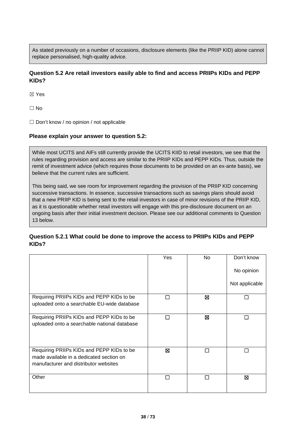As stated previously on a number of occasions, disclosure elements (like the PRIIP KID) alone cannot replace personalised, high-quality advice.

# **Question 5.2 Are retail investors easily able to find and access PRIIPs KIDs and PEPP KIDs?**

☒ Yes

☐ No

□ Don't know / no opinion / not applicable

#### **Please explain your answer to question 5.2:**

While most UCITS and AIFs still currently provide the UCITS KIID to retail investors, we see that the rules regarding provision and access are similar to the PRIIP KIDs and PEPP KIDs. Thus, outside the remit of investment advice (which requires those documents to be provided on an ex-ante basis), we believe that the current rules are sufficient.

This being said, we see room for improvement regarding the provision of the PRIIP KID concerning successive transactions. In essence, successive transactions such as savings plans should avoid that a new PRIIP KID is being sent to the retail investors in case of minor revisions of the PRIIP KID, as it is questionable whether retail investors will engage with this pre-disclosure document on an ongoing basis after their initial investment decision. Please see our additional comments to Question 13 below.

# **Question 5.2.1 What could be done to improve the access to PRIIPs KIDs and PEPP KIDs?**

|                                                                                                                                | Yes | No. | Don't know     |
|--------------------------------------------------------------------------------------------------------------------------------|-----|-----|----------------|
|                                                                                                                                |     |     | No opinion     |
|                                                                                                                                |     |     | Not applicable |
| Requiring PRIIPs KIDs and PEPP KIDs to be<br>uploaded onto a searchable EU-wide database                                       |     | ⊠   | П              |
| Requiring PRIIPs KIDs and PEPP KIDs to be<br>uploaded onto a searchable national database                                      | П   | ⊠   | П              |
| Requiring PRIIPs KIDs and PEPP KIDs to be<br>made available in a dedicated section on<br>manufacturer and distributor websites | ⊠   | П   | П              |
| Other                                                                                                                          |     | П   | ⊠              |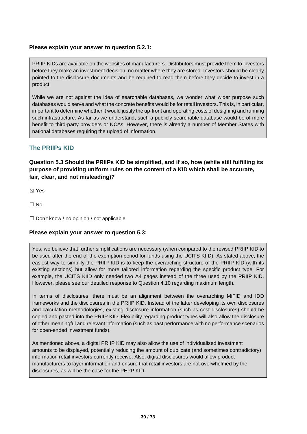### **Please explain your answer to question 5.2.1:**

PRIIP KIDs are available on the websites of manufacturers. Distributors must provide them to investors before they make an investment decision, no matter where they are stored. Investors should be clearly pointed to the disclosure documents and be required to read them before they decide to invest in a product.

While we are not against the idea of searchable databases, we wonder what wider purpose such databases would serve and what the concrete benefits would be for retail investors. This is, in particular, important to determine whether it would justify the up-front and operating costs of designing and running such infrastructure. As far as we understand, such a publicly searchable database would be of more benefit to third-party providers or NCAs. However, there is already a number of Member States with national databases requiring the upload of information.

# **The PRIIPs KID**

**Question 5.3 Should the PRIIPs KID be simplified, and if so, how (while still fulfilling its purpose of providing uniform rules on the content of a KID which shall be accurate, fair, clear, and not misleading)?**

☒ Yes

 $\Box$  No

□ Don't know / no opinion / not applicable

### **Please explain your answer to question 5.3:**

Yes, we believe that further simplifications are necessary (when compared to the revised PRIIP KID to be used after the end of the exemption period for funds using the UCITS KIID). As stated above, the easiest way to simplify the PRIIP KID is to keep the overarching structure of the PRIIP KID (with its existing sections) but allow for more tailored information regarding the specific product type. For example, the UCITS KIID only needed two A4 pages instead of the three used by the PRIIP KID. However, please see our detailed response to Question 4.10 regarding maximum length.

In terms of disclosures, there must be an alignment between the overarching MiFID and IDD frameworks and the disclosures in the PRIIP KID. Instead of the latter developing its own disclosures and calculation methodologies, existing disclosure information (such as cost disclosures) should be copied and pasted into the PRIIP KID. Flexibility regarding product types will also allow the disclosure of other meaningful and relevant information (such as past performance with no performance scenarios for open-ended investment funds).

As mentioned above, a digital PRIIP KID may also allow the use of individualised investment amounts to be displayed, potentially reducing the amount of duplicate (and sometimes contradictory) information retail investors currently receive. Also, digital disclosures would allow product manufacturers to layer information and ensure that retail investors are not overwhelmed by the disclosures, as will be the case for the PEPP KID.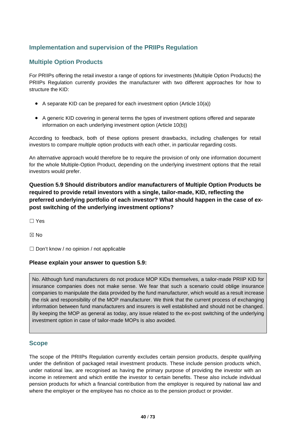# **Implementation and supervision of the PRIIPs Regulation**

# **Multiple Option Products**

For PRIIPs offering the retail investor a range of options for investments (Multiple Option Products) the PRIIPs Regulation currently provides the manufacturer with two different approaches for how to structure the KID:

- A separate KID can be prepared for each investment option (Article 10(a))
- A generic KID covering in general terms the types of investment options offered and separate information on each underlying investment option (Article 10(b))

According to feedback, both of these options present drawbacks, including challenges for retail investors to compare multiple option products with each other, in particular regarding costs.

An alternative approach would therefore be to require the provision of only one information document for the whole Multiple-Option Product, depending on the underlying investment options that the retail investors would prefer.

# **Question 5.9 Should distributors and/or manufacturers of Multiple Option Products be required to provide retail investors with a single, tailor-made, KID, reflecting the preferred underlying portfolio of each investor? What should happen in the case of expost switching of the underlying investment options?**

☐ Yes

☒ No

☐ Don't know / no opinion / not applicable

#### **Please explain your answer to question 5.9:**

No. Although fund manufacturers do not produce MOP KIDs themselves, a tailor-made PRIIP KID for insurance companies does not make sense. We fear that such a scenario could oblige insurance companies to manipulate the data provided by the fund manufacturer, which would as a result increase the risk and responsibility of the MOP manufacturer. We think that the current process of exchanging information between fund manufacturers and insurers is well established and should not be changed. By keeping the MOP as general as today, any issue related to the ex-post switching of the underlying investment option in case of tailor-made MOPs is also avoided.

### **Scope**

The scope of the PRIIPs Regulation currently excludes certain pension products, despite qualifying under the definition of packaged retail investment products. These include pension products which, under national law, are recognised as having the primary purpose of providing the investor with an income in retirement and which entitle the investor to certain benefits. These also include individual pension products for which a financial contribution from the employer is required by national law and where the employer or the employee has no choice as to the pension product or provider.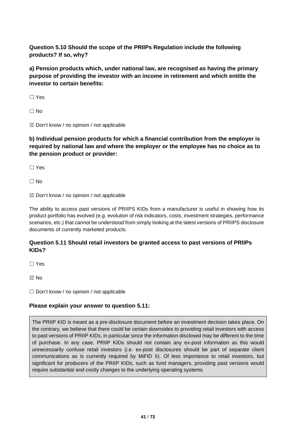**Question 5.10 Should the scope of the PRIIPs Regulation include the following products? If so, why?**

**a) Pension products which, under national law, are recognised as having the primary purpose of providing the investor with an income in retirement and which entitle the investor to certain benefits:**

☐ Yes

 $\Box$  No

☒ Don't know / no opinion / not applicable

**b) Individual pension products for which a financial contribution from the employer is required by national law and where the employer or the employee has no choice as to the pension product or provider:**

☐ Yes

 $\Box$  No

 $\boxtimes$  Don't know / no opinion / not applicable

The ability to access past versions of PRIIPS KIDs from a manufacturer is useful in showing how its product portfolio has evolved (e.g. evolution of risk indicators, costs, investment strategies, performance scenarios, etc.) that cannot be understood from simply looking at the latest versions of PRIIPS disclosure documents of currently marketed products.

# **Question 5.11 Should retail investors be granted access to past versions of PRIIPs KIDs?**

☐ Yes

☒ No

□ Don't know / no opinion / not applicable

# **Please explain your answer to question 5.11:**

The PRIIP KID is meant as a pre-disclosure document before an investment decision takes place. On the contrary, we believe that there could be certain downsides to providing retail investors with access to past versions of PRIIP KIDs, in particular since the information disclosed may be different to the time of purchase. In any case, PRIIP KIDs should not contain any ex-post information as this would unnecessarily confuse retail investors (i.e. ex-post disclosures should be part of separate client communications as is currently required by MiFID II). Of less importance to retail investors, but significant for producers of the PRIIP KIDs, such as fund managers, providing past versions would require substantial and costly changes to the underlying operating systems.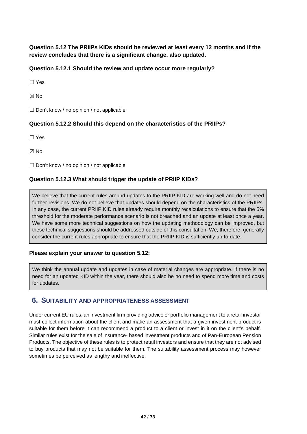**Question 5.12 The PRIIPs KIDs should be reviewed at least every 12 months and if the review concludes that there is a significant change, also updated.** 

# **Question 5.12.1 Should the review and update occur more regularly?**

☐ Yes

☒ No

☐ Don't know / no opinion / not applicable

## **Question 5.12.2 Should this depend on the characteristics of the PRIIPs?**

☐ Yes

☒ No

☐ Don't know / no opinion / not applicable

## **Question 5.12.3 What should trigger the update of PRIIP KIDs?**

We believe that the current rules around updates to the PRIIP KID are working well and do not need further revisions. We do not believe that updates should depend on the characteristics of the PRIIPs. In any case, the current PRIIP KID rules already require monthly recalculations to ensure that the 5% threshold for the moderate performance scenario is not breached and an update at least once a year. We have some more technical suggestions on how the updating methodology can be improved, but these technical suggestions should be addressed outside of this consultation. We, therefore, generally consider the current rules appropriate to ensure that the PRIIP KID is sufficiently up-to-date.

### **Please explain your answer to question 5.12:**

We think the annual update and updates in case of material changes are appropriate. If there is no need for an updated KID within the year, there should also be no need to spend more time and costs for updates.

# **6. SUITABILITY AND APPROPRIATENESS ASSESSMENT**

Under current EU rules, an investment firm providing advice or portfolio management to a retail investor must collect information about the client and make an assessment that a given investment product is suitable for them before it can recommend a product to a client or invest in it on the client's behalf. Similar rules exist for the sale of insurance- based investment products and of Pan-European Pension Products. The objective of these rules is to protect retail investors and ensure that they are not advised to buy products that may not be suitable for them. The suitability assessment process may however sometimes be perceived as lengthy and ineffective.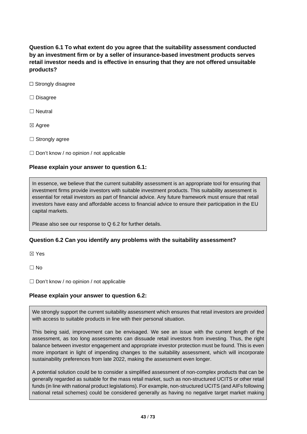**Question 6.1 To what extent do you agree that the suitability assessment conducted by an investment firm or by a seller of insurance-based investment products serves retail investor needs and is effective in ensuring that they are not offered unsuitable products?**

- □ Strongly disagree
- ☐ Disagree
- □ Neutral
- ☒ Agree
- □ Strongly agree
- $\Box$  Don't know / no opinion / not applicable

#### **Please explain your answer to question 6.1:**

In essence, we believe that the current suitability assessment is an appropriate tool for ensuring that investment firms provide investors with suitable investment products. This suitability assessment is essential for retail investors as part of financial advice. Any future framework must ensure that retail investors have easy and affordable access to financial advice to ensure their participation in the EU capital markets.

Please also see our response to Q 6.2 for further details.

### **Question 6.2 Can you identify any problems with the suitability assessment?**

☒ Yes

 $\Box$  No

 $\Box$  Don't know / no opinion / not applicable

### **Please explain your answer to question 6.2:**

We strongly support the current suitability assessment which ensures that retail investors are provided with access to suitable products in line with their personal situation.

This being said, improvement can be envisaged. We see an issue with the current length of the assessment, as too long assessments can dissuade retail investors from investing. Thus, the right balance between investor engagement and appropriate investor protection must be found. This is even more important in light of impending changes to the suitability assessment, which will incorporate sustainability preferences from late 2022, making the assessment even longer.

A potential solution could be to consider a simplified assessment of non-complex products that can be generally regarded as suitable for the mass retail market, such as non-structured UCITS or other retail funds (in line with national product legislations). For example, non-structured UCITS (and AIFs following national retail schemes) could be considered generally as having no negative target market making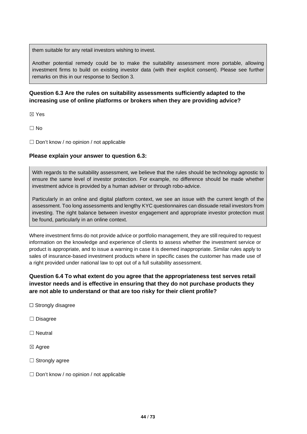them suitable for any retail investors wishing to invest.

Another potential remedy could be to make the suitability assessment more portable, allowing investment firms to build on existing investor data (with their explicit consent). Please see further remarks on this in our response to Section 3.

# **Question 6.3 Are the rules on suitability assessments sufficiently adapted to the increasing use of online platforms or brokers when they are providing advice?**

☒ Yes

 $\Box$  No

□ Don't know / no opinion / not applicable

#### **Please explain your answer to question 6.3:**

With regards to the suitability assessment, we believe that the rules should be technology agnostic to ensure the same level of investor protection. For example, no difference should be made whether investment advice is provided by a human adviser or through robo-advice.

Particularly in an online and digital platform context, we see an issue with the current length of the assessment. Too long assessments and lengthy KYC questionnaires can dissuade retail investors from investing. The right balance between investor engagement and appropriate investor protection must be found, particularly in an online context.

Where investment firms do not provide advice or portfolio management, they are still required to request information on the knowledge and experience of clients to assess whether the investment service or product is appropriate, and to issue a warning in case it is deemed inappropriate. Similar rules apply to sales of insurance-based investment products where in specific cases the customer has made use of a right provided under national law to opt out of a full suitability assessment.

# **Question 6.4 To what extent do you agree that the appropriateness test serves retail investor needs and is effective in ensuring that they do not purchase products they are not able to understand or that are too risky for their client profile?**

- ☐ Strongly disagree
- ☐ Disagree
- ☐ Neutral
- ☒ Agree
- □ Strongly agree
- □ Don't know / no opinion / not applicable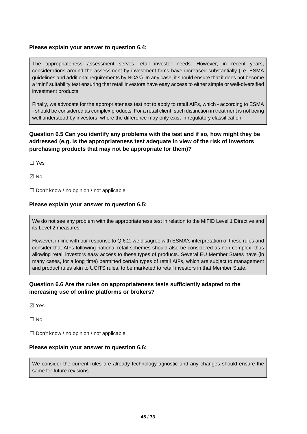### **Please explain your answer to question 6.4:**

The appropriateness assessment serves retail investor needs. However, in recent years, considerations around the assessment by investment firms have increased substantially (i.e. ESMA guidelines and additional requirements by NCAs). In any case, it should ensure that it does not become a 'mini' suitability test ensuring that retail investors have easy access to either simple or well-diversified investment products.

Finally, we advocate for the appropriateness test not to apply to retail AIFs, which - according to ESMA - should be considered as complex products. For a retail client, such distinction in treatment is not being well understood by investors, where the difference may only exist in regulatory classification.

# **Question 6.5 Can you identify any problems with the test and if so, how might they be addressed (e.g. is the appropriateness test adequate in view of the risk of investors purchasing products that may not be appropriate for them)?**

☐ Yes

☒ No

 $\Box$  Don't know / no opinion / not applicable

### **Please explain your answer to question 6.5:**

We do not see any problem with the appropriateness test in relation to the MiFID Level 1 Directive and its Level 2 measures.

However, in line with our response to Q 6.2, we disagree with ESMA's interpretation of these rules and consider that AIFs following national retail schemes should also be considered as non-complex, thus allowing retail investors easy access to these types of products. Several EU Member States have (in many cases, for a long time) permitted certain types of retail AIFs, which are subject to management and product rules akin to UCITS rules, to be marketed to retail investors in that Member State.

## **Question 6.6 Are the rules on appropriateness tests sufficiently adapted to the increasing use of online platforms or brokers?**

☒ Yes

☐ No

 $\Box$  Don't know / no opinion / not applicable

### **Please explain your answer to question 6.6:**

We consider the current rules are already technology-agnostic and any changes should ensure the same for future revisions.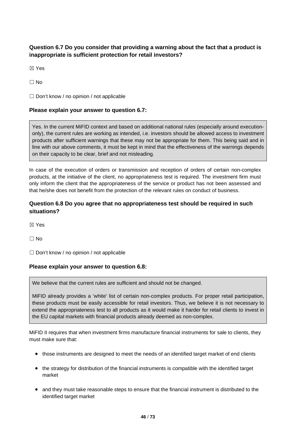# **Question 6.7 Do you consider that providing a warning about the fact that a product is inappropriate is sufficient protection for retail investors?**

☒ Yes

 $\Box$  No

 $\Box$  Don't know / no opinion / not applicable

### **Please explain your answer to question 6.7:**

Yes. In the current MiFID context and based on additional national rules (especially around executiononly), the current rules are working as intended, i.e. investors should be allowed access to investment products after sufficient warnings that these may not be appropriate for them. This being said and in line with our above comments, it must be kept in mind that the effectiveness of the warnings depends on their capacity to be clear, brief and not misleading.

In case of the execution of orders or transmission and reception of orders of certain non-complex products, at the initiative of the client, no appropriateness test is required. The investment firm must only inform the client that the appropriateness of the service or product has not been assessed and that he/she does not benefit from the protection of the relevant rules on conduct of business.

## **Question 6.8 Do you agree that no appropriateness test should be required in such situations?**

☒ Yes

 $\Box$  No

☐ Don't know / no opinion / not applicable

### **Please explain your answer to question 6.8:**

We believe that the current rules are sufficient and should not be changed.

MiFID already provides a 'white' list of certain non-complex products. For proper retail participation, these products must be easily accessible for retail investors. Thus, we believe it is not necessary to extend the appropriateness test to all products as it would make it harder for retail clients to invest in the EU capital markets with financial products already deemed as non-complex.

MiFID II requires that when investment firms manufacture financial instruments for sale to clients, they must make sure that:

- those instruments are designed to meet the needs of an identified target market of end clients
- the strategy for distribution of the financial instruments is compatible with the identified target market
- and they must take reasonable steps to ensure that the financial instrument is distributed to the identified target market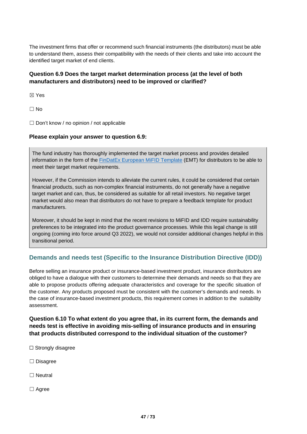The investment firms that offer or recommend such financial instruments (the distributors) must be able to understand them, assess their compatibility with the needs of their clients and take into account the identified target market of end clients.

# **Question 6.9 Does the target market determination process (at the level of both manufacturers and distributors) need to be improved or clarified?**

☒ Yes

 $\Box$  No

☐ Don't know / no opinion / not applicable

### **Please explain your answer to question 6.9:**

The fund industry has thoroughly implemented the target market process and provides detailed information in the form of the [FinDatEx European MiFID Template](https://findatex.eu/) (EMT) for distributors to be able to meet their target market requirements.

However, if the Commission intends to alleviate the current rules, it could be considered that certain financial products, such as non-complex financial instruments, do not generally have a negative target market and can, thus, be considered as suitable for all retail investors. No negative target market would also mean that distributors do not have to prepare a feedback template for product manufacturers.

Moreover, it should be kept in mind that the recent revisions to MiFID and IDD require sustainability preferences to be integrated into the product governance processes. While this legal change is still ongoing (coming into force around Q3 2022), we would not consider additional changes helpful in this transitional period.

# **Demands and needs test (Specific to the Insurance Distribution Directive (IDD))**

Before selling an insurance product or insurance-based investment product, insurance distributors are obliged to have a dialogue with their customers to determine their demands and needs so that they are able to propose products offering adequate characteristics and coverage for the specific situation of the customer. Any products proposed must be consistent with the customer's demands and needs. In the case of insurance-based investment products, this requirement comes in addition to the suitability assessment.

**Question 6.10 To what extent do you agree that, in its current form, the demands and needs test is effective in avoiding mis-selling of insurance products and in ensuring that products distributed correspond to the individual situation of the customer?**

□ Strongly disagree

☐ Disagree

□ Neutral

☐ Agree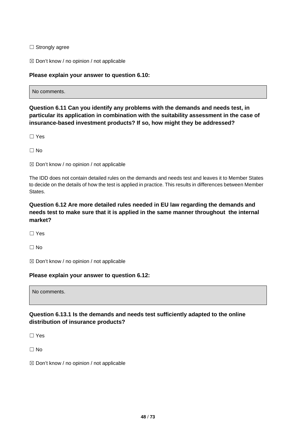$\Box$  Strongly agree

 $\boxtimes$  Don't know / no opinion / not applicable

### **Please explain your answer to question 6.10:**

| No comments. |  |  |  |
|--------------|--|--|--|
|--------------|--|--|--|

**Question 6.11 Can you identify any problems with the demands and needs test, in particular its application in combination with the suitability assessment in the case of insurance-based investment products? If so, how might they be addressed?**

☐ Yes

 $\Box$  No

 $\boxtimes$  Don't know / no opinion / not applicable

The IDD does not contain detailed rules on the demands and needs test and leaves it to Member States to decide on the details of how the test is applied in practice. This results in differences between Member States.

# **Question 6.12 Are more detailed rules needed in EU law regarding the demands and needs test to make sure that it is applied in the same manner throughout the internal market?**

☐ Yes

☐ No

☒ Don't know / no opinion / not applicable

## **Please explain your answer to question 6.12:**

No comments.

# **Question 6.13.1 Is the demands and needs test sufficiently adapted to the online distribution of insurance products?**

☐ Yes

 $\Box$  No

☒ Don't know / no opinion / not applicable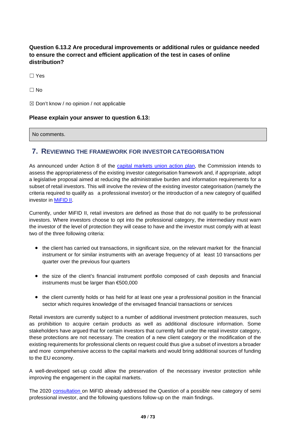**Question 6.13.2 Are procedural improvements or additional rules or guidance needed to ensure the correct and efficient application of the test in cases of online distribution?**

☐ Yes

 $\Box$  No

 $\boxtimes$  Don't know / no opinion / not applicable

### **Please explain your answer to question 6.13:**

No comments.

# **7. REVIEWING THE FRAMEWORK FOR INVESTOR CATEGORISATION**

As announced under Action 8 of the [capital markets union action plan,](https://ec.europa.eu/info/business-economy-euro/growth-and-investment/capital-markets-union/capital-markets-union-2020-action-plan_en) the Commission intends to assess the appropriateness of the existing investor categorisation framework and, if appropriate, adopt a legislative proposal aimed at reducing the administrative burden and information requirements for a subset of retail investors. This will involve the review of the existing investor categorisation (namely the criteria required to qualify as a professional investor) or the introduction of a new category of qualified investor in [MiFID](https://eur-lex.europa.eu/legal-content/EN/TXT/?uri=CELEX%3A32014L0065) II.

Currently, under MiFID II, retail investors are defined as those that do not qualify to be professional investors. Where investors choose to opt into the professional category, the intermediary must warn the investor of the level of protection they will cease to have and the investor must comply with at least two of the three following criteria:

- the client has carried out transactions, in significant size, on the relevant market for the financial instrument or for similar instruments with an average frequency of at least 10 transactions per quarter over the previous four quarters
- the size of the client's financial instrument portfolio composed of cash deposits and financial instruments must be larger than €500,000
- the client currently holds or has held for at least one year a professional position in the financial sector which requires knowledge of the envisaged financial transactions or services

Retail investors are currently subject to a number of additional investment protection measures, such as prohibition to acquire certain products as well as additional disclosure information. Some stakeholders have argued that for certain investors that currently fall under the retail investor category, these protections are not necessary. The creation of a new client category or the modification of the existing requirements for professional clients on request could thus give a subset of investors a broader and more comprehensive access to the capital markets and would bring additional sources of funding to the EU economy.

A well-developed set-up could allow the preservation of the necessary investor protection while improving the engagement in the capital markets.

The 2020 [consultation](https://ec.europa.eu/info/law/better-regulation/have-your-say/initiatives/12167-Review-of-the-regulatory-framework-for-investment-firms-and-market-operators-MiFID-2-1-/public-consultation) on MiFID already addressed the Question of a possible new category of semi professional investor, and the following questions follow-up on the main findings.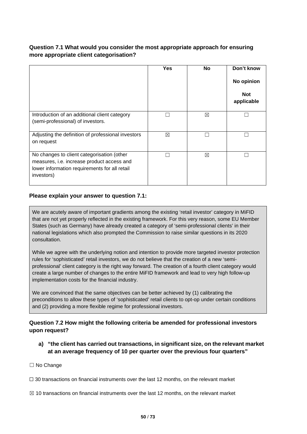# **Question 7.1 What would you consider the most appropriate approach for ensuring more appropriate client categorisation?**

|                                                                                                                                                         | <b>Yes</b>  | <b>No</b> | Don't know<br>No opinion<br><b>Not</b><br>applicable |
|---------------------------------------------------------------------------------------------------------------------------------------------------------|-------------|-----------|------------------------------------------------------|
| Introduction of an additional client category<br>(semi-professional) of investors.                                                                      |             | ⊠         |                                                      |
| Adjusting the definition of professional investors<br>on request                                                                                        | $\boxtimes$ |           |                                                      |
| No changes to client categorisation (other<br>measures, i.e. increase product access and<br>lower information requirements for all retail<br>investors) |             | ⊠         |                                                      |

## **Please explain your answer to question 7.1:**

We are acutely aware of important gradients among the existing 'retail investor' category in MiFID that are not yet properly reflected in the existing framework. For this very reason, some EU Member States (such as Germany) have already created a category of 'semi-professional clients' in their national legislations which also prompted the Commission to raise similar questions in its 2020 consultation.

While we agree with the underlying notion and intention to provide more targeted investor protection rules for 'sophisticated' retail investors, we do not believe that the creation of a new 'semiprofessional' client category is the right way forward. The creation of a fourth client category would create a large number of changes to the entire MiFID framework and lead to very high follow-up implementation costs for the financial industry.

We are convinced that the same objectives can be better achieved by (1) calibrating the preconditions to allow these types of 'sophisticated' retail clients to opt-op under certain conditions and (2) providing a more flexible regime for professional investors.

# **Question 7.2 How might the following criteria be amended for professional investors upon request?**

**a) "the client has carried out transactions, in significant size, on the relevant market at an average frequency of 10 per quarter over the previous four quarters"**

### ☐ No Change

 $\Box$  30 transactions on financial instruments over the last 12 months, on the relevant market

 $\boxtimes$  10 transactions on financial instruments over the last 12 months, on the relevant market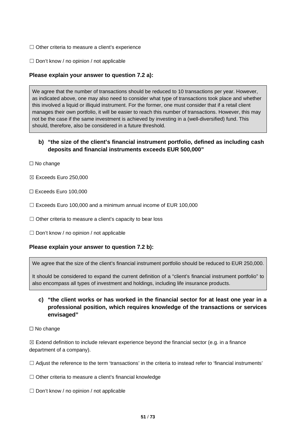- □ Other criteria to measure a client's experience
- ☐ Don't know / no opinion / not applicable

### **Please explain your answer to question 7.2 a):**

We agree that the number of transactions should be reduced to 10 transactions per year. However, as indicated above, one may also need to consider what type of transactions took place and whether this involved a liquid or illiquid instrument. For the former, one must consider that if a retail client manages their own portfolio, it will be easier to reach this number of transactions. However, this may not be the case if the same investment is achieved by investing in a (well-diversified) fund. This should, therefore, also be considered in a future threshold.

# **b) "the size of the client's financial instrument portfolio, defined as including cash deposits and financial instruments exceeds EUR 500,000"**

- ☐ No change
- ☒ Exceeds Euro 250,000
- ☐ Exceeds Euro 100,000
- ☐ Exceeds Euro 100,000 and a minimum annual income of EUR 100,000
- □ Other criteria to measure a client's capacity to bear loss
- ☐ Don't know / no opinion / not applicable

### **Please explain your answer to question 7.2 b):**

We agree that the size of the client's financial instrument portfolio should be reduced to EUR 250,000.

It should be considered to expand the current definition of a "client's financial instrument portfolio" to also encompass all types of investment and holdings, including life insurance products.

# **c) "the client works or has worked in the financial sector for at least one year in a professional position, which requires knowledge of the transactions or services envisaged"**

☐ No change

 $\boxtimes$  Extend definition to include relevant experience beyond the financial sector (e.g. in a finance department of a company).

☐ Adjust the reference to the term 'transactions' in the criteria to instead refer to 'financial instruments'

 $\Box$  Other criteria to measure a client's financial knowledge

☐ Don't know / no opinion / not applicable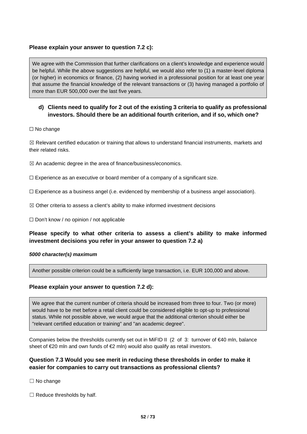### **Please explain your answer to question 7.2 c):**

We agree with the Commission that further clarifications on a client's knowledge and experience would be helpful. While the above suggestions are helpful, we would also refer to (1) a master-level diploma (or higher) in economics or finance, (2) having worked in a professional position for at least one year that assume the financial knowledge of the relevant transactions or (3) having managed a portfolio of more than EUR 500,000 over the last five years.

# **d) Clients need to qualify for 2 out of the existing 3 criteria to qualify as professional investors. Should there be an additional fourth criterion, and if so, which one?**

□ No change

 $\boxtimes$  Relevant certified education or training that allows to understand financial instruments, markets and their related risks.

 $\boxtimes$  An academic degree in the area of finance/business/economics.

 $\Box$  Experience as an executive or board member of a company of a significant size.

 $\Box$  Experience as a business angel (i.e. evidenced by membership of a business angel association).

 $\boxtimes$  Other criteria to assess a client's ability to make informed investment decisions

☐ Don't know / no opinion / not applicable

# **Please specify to what other criteria to assess a client's ability to make informed investment decisions you refer in your answer to question 7.2 a)**

#### *5000 character(s) maximum*

Another possible criterion could be a sufficiently large transaction, i.e. EUR 100,000 and above.

### **Please explain your answer to question 7.2 d):**

We agree that the current number of criteria should be increased from three to four. Two (or more) would have to be met before a retail client could be considered eligible to opt-up to professional status. While not possible above, we would argue that the additional criterion should either be "relevant certified education or training" and "an academic degree".

Companies below the thresholds currently set out in MiFID II (2 of 3: turnover of  $\epsilon$ 40 mln, balance sheet of €20 mln and own funds of €2 mln) would also qualify as retail investors.

## **Question 7.3 Would you see merit in reducing these thresholds in order to make it easier for companies to carry out transactions as professional clients?**

☐ No change

 $\Box$  Reduce thresholds by half.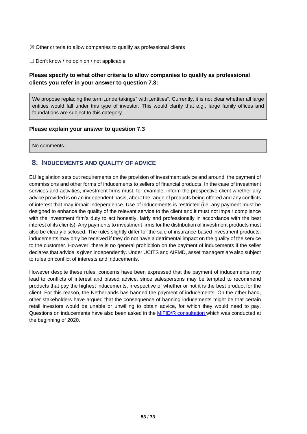$\boxtimes$  Other criteria to allow companies to qualify as professional clients

☐ Don't know / no opinion / not applicable

# **Please specify to what other criteria to allow companies to qualify as professional clients you refer in your answer to question 7.3:**

We propose replacing the term "undertakings" with "entities". Currently, it is not clear whether all large entities would fall under this type of investor. This would clarify that e.g., large family offices and foundations are subject to this category.

#### **Please explain your answer to question 7.3**

No comments.

## **8. INDUCEMENTS AND QUALITY OF ADVICE**

EU legislation sets out requirements on the provision of investment advice and around the payment of commissions and other forms of inducements to sellers of financial products. In the case of investment services and activities, investment firms must, for example, inform the prospective client whether any advice provided is on an independent basis, about the range of products being offered and any conflicts of interest that may impair independence. Use of inducements is restricted (i.e. any payment must be designed to enhance the quality of the relevant service to the client and it must not impair compliance with the investment firm's duty to act honestly, fairly and professionally in accordance with the best interest of its clients). Any payments to investment firms for the distribution of investment products must also be clearly disclosed. The rules slightly differ for the sale of insurance-based investment products: inducements may only be received if they do not have a detrimental impact on the quality of the service to the customer. However, there is no general prohibition on the payment of inducements if the seller declares that advice is given independently. Under UCITS and AIFMD, asset managers are also subject to rules on conflict of interests and inducements.

However despite these rules, concerns have been expressed that the payment of inducements may lead to conflicts of interest and biased advice, since salespersons may be tempted to recommend products that pay the highest inducements, irrespective of whether or not it is the best product for the client. For this reason, the Netherlands has banned the payment of inducements. On the other hand, other stakeholders have argued that the consequence of banning inducements might be that certain retail investors would be unable or unwilling to obtain advice, for which they would need to pay. Questions on inducements have also been asked in the [MiFID/R consultation w](https://ec.europa.eu/info/publications/finance-consultations-2020-mifid-2-mifir-review_en)hich was conducted at the beginning of 2020.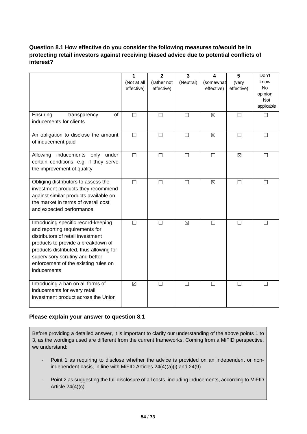# **Question 8.1 How effective do you consider the following measures to/would be in protecting retail investors against receiving biased advice due to potential conflicts of interest?**

|                                                                                                                                                                                                                                                                                       | 1<br>(Not at all<br>effective) | $\overline{2}$<br>(rather not<br>effective) | 3<br>(Neutral) | 4<br>(somewhat<br>effective) | 5<br>(very<br>effective) | Don't<br>know<br><b>No</b><br>opinion<br>Not<br>applicable |
|---------------------------------------------------------------------------------------------------------------------------------------------------------------------------------------------------------------------------------------------------------------------------------------|--------------------------------|---------------------------------------------|----------------|------------------------------|--------------------------|------------------------------------------------------------|
| Ensuring<br>transparency<br>of<br>inducements for clients                                                                                                                                                                                                                             | П                              | П                                           | П              | $\boxtimes$                  | П                        |                                                            |
| An obligation to disclose the amount<br>of inducement paid                                                                                                                                                                                                                            | $\Box$                         | $\Box$                                      | $\Box$         | $\boxtimes$                  | □                        | $\Box$                                                     |
| Allowing<br>inducements<br>only<br>under<br>certain conditions, e.g. if they serve<br>the improvement of quality                                                                                                                                                                      | $\Box$                         | П                                           | $\Box$         | $\Box$                       | $\boxtimes$              | П                                                          |
| Obliging distributors to assess the<br>investment products they recommend<br>against similar products available on<br>the market in terms of overall cost<br>and expected performance                                                                                                 | $\Box$                         | $\Box$                                      | $\Box$         | $\boxtimes$                  | $\Box$                   | П                                                          |
| Introducing specific record-keeping<br>and reporting requirements for<br>distributors of retail investment<br>products to provide a breakdown of<br>products distributed, thus allowing for<br>supervisory scrutiny and better<br>enforcement of the existing rules on<br>inducements | П                              | П                                           | $\boxtimes$    | П                            | $\mathsf{L}$             |                                                            |
| Introducing a ban on all forms of<br>inducements for every retail<br>investment product across the Union                                                                                                                                                                              | $\boxtimes$                    | П                                           | П              | П                            | П                        |                                                            |

### **Please explain your answer to question 8.1**

Before providing a detailed answer, it is important to clarify our understanding of the above points 1 to 3, as the wordings used are different from the current frameworks. Coming from a MiFID perspective, we understand:

- Point 1 as requiring to disclose whether the advice is provided on an independent or nonindependent basis, in line with MiFID Articles 24(4)(a)(i) and 24(9)
- Point 2 as suggesting the full disclosure of all costs, including inducements, according to MiFID Article  $24(4)(c)$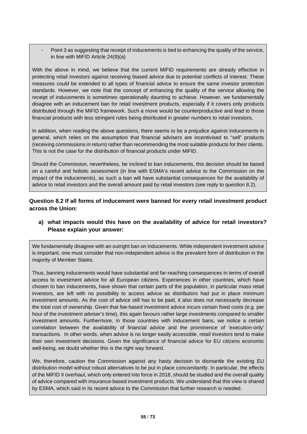Point 3 as suggesting that receipt of inducements is tied to enhancing the quality of the service, in line with MiFID Article 24(9)(a)

With the above in mind, we believe that the current MiFID requirements are already effective in protecting retail investors against receiving biased advice due to potential conflicts of interest. These measures could be extended to all types of financial advice to ensure the same investor protection standards. However, we note that the concept of enhancing the quality of the service allowing the receipt of inducements is sometimes operationally daunting to achieve. However, we fundamentally disagree with an inducement ban for retail investment products, especially if it covers only products distributed through the MiFID framework. Such a move would be counterproductive and lead to those financial products with less stringent rules being distributed in greater numbers to retail investors,

In addition, when reading the above questions, there seems to be a prejudice against inducements in general, which relies on the assumption that financial advisers are incentivised to "sell" products (receiving commissions in return) rather than recommending the most suitable products for their clients. This is not the case for the distribution of financial products under MiFID.

Should the Commission, nevertheless, be inclined to ban inducements, this decision should be based on a careful and holistic assessment (in line with ESMA's recent advice to the Commission on the impact of the inducements), as such a ban will have substantial consequences for the availability of advice to retail investors and the overall amount paid by retail investors (see reply to question 8.2).

**Question 8.2 If all forms of inducement were banned for every retail investment product across the Union:**

# **a) what impacts would this have on the availability of advice for retail investors? Please explain your answer:**

We fundamentally disagree with an outright ban on inducements. While independent investment advice is important, one must consider that non-independent advice is the prevalent form of distribution in the majority of Member States.

Thus, banning inducements would have substantial and far-reaching consequences in terms of overall access to investment advice for all European citizens. Experiences in other countries, which have chosen to ban inducements, have shown that certain parts of the population, in particular mass retail investors, are left with no possibility to access advice as distributors had put in place minimum investment amounts. As the cost of advice still has to be paid, it also does not necessarily decrease the total cost of ownership. Given that fee-based investment advice incurs certain fixed costs (e.g. per hour of the investment adviser's time), this again favours rather large investments compared to smaller investment amounts. Furthermore, in those countries with inducement bans, we notice a certain correlation between the availability of financial advice and the prominence of 'execution-only' transactions. In other words, when advice is no longer easily accessible, retail investors tend to make their own investment decisions. Given the significance of financial advice for EU citizens economic well-being, we doubt whether this is the right way forward.

We, therefore, caution the Commission against any hasty decision to dismantle the existing EU distribution model without robust alternatives to be put in place concomitantly. In particular, the effects of the MiFID II overhaul, which only entered into force in 2018, should be studied and the overall quality of advice compared with insurance-based investment products. We understand that this view is shared by ESMA, which said in its recent advice to the Commission that further research is needed.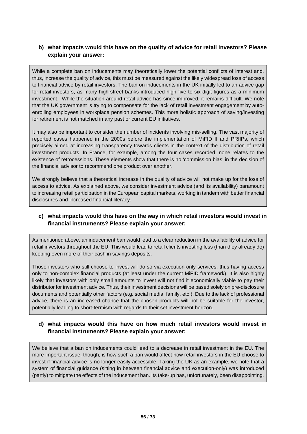# **b) what impacts would this have on the quality of advice for retail investors? Please explain your answer:**

While a complete ban on inducements may theoretically lower the potential conflicts of interest and, thus, increase the quality of advice, this must be measured against the likely widespread loss of access to financial advice by retail investors. The ban on inducements in the UK initially led to an advice gap for retail investors, as many high-street banks introduced high five to six-digit figures as a minimum investment. While the situation around retail advice has since improved, it remains difficult. We note that the UK government is trying to compensate for the lack of retail investment engagement by autoenrolling employees in workplace pension schemes. This more holistic approach of saving/investing for retirement is not matched in any past or current EU initiatives.

It may also be important to consider the number of incidents involving mis-selling. The vast majority of reported cases happened in the 2000s before the implementation of MiFID II and PRIIPs, which precisely aimed at increasing transparency towards clients in the context of the distribution of retail investment products. In France, for example, among the four cases recorded, none relates to the existence of retrocessions. These elements show that there is no 'commission bias' in the decision of the financial advisor to recommend one product over another.

We strongly believe that a theoretical increase in the quality of advice will not make up for the loss of access to advice. As explained above, we consider investment advice (and its availability) paramount to increasing retail participation in the European capital markets, working in tandem with better financial disclosures and increased financial literacy.

## **c) what impacts would this have on the way in which retail investors would invest in financial instruments? Please explain your answer:**

As mentioned above, an inducement ban would lead to a clear reduction in the availability of advice for retail investors throughout the EU. This would lead to retail clients investing less (than they already do) keeping even more of their cash in savings deposits.

Those investors who still choose to invest will do so via execution-only services, thus having access only to non-complex financial products (at least under the current MiFID framework). It is also highly likely that investors with only small amounts to invest will not find it economically viable to pay their distributor for investment advice. Thus, their investment decisions will be based solely on pre-disclosure documents and potentially other factors (e.g. social media, family, etc.). Due to the lack of professional advice, there is an increased chance that the chosen products will not be suitable for the investor, potentially leading to short-termism with regards to their set investment horizon.

## **d) what impacts would this have on how much retail investors would invest in financial instruments? Please explain your answer:**

We believe that a ban on inducements could lead to a decrease in retail investment in the EU. The more important issue, though, is how such a ban would affect how retail investors in the EU choose to invest if financial advice is no longer easily accessible. Taking the UK as an example, we note that a system of financial guidance (sitting in between financial advice and execution-only) was introduced (partly) to mitigate the effects of the inducement ban. Its take-up has, unfortunately, been disappointing.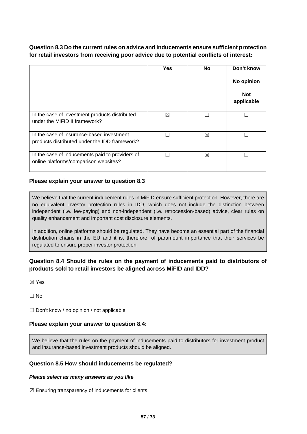# **Question 8.3 Do the current rules on advice and inducements ensure sufficient protection for retail investors from receiving poor advice due to potential conflicts of interest:**

|                                                                                            | Yes | <b>No</b> | Don't know<br>No opinion<br><b>Not</b><br>applicable |
|--------------------------------------------------------------------------------------------|-----|-----------|------------------------------------------------------|
| In the case of investment products distributed<br>under the MiFID II framework?            | ⊠   |           |                                                      |
| In the case of insurance-based investment<br>products distributed under the IDD framework? |     | ⊠         |                                                      |
| In the case of inducements paid to providers of<br>online platforms/comparison websites?   |     | ⊠         |                                                      |

## **Please explain your answer to question 8.3**

We believe that the current inducement rules in MiFID ensure sufficient protection. However, there are no equivalent investor protection rules in IDD, which does not include the distinction between independent (i.e. fee-paying) and non-independent (i.e. retrocession-based) advice, clear rules on quality enhancement and important cost disclosure elements.

In addition, online platforms should be regulated. They have become an essential part of the financial distribution chains in the EU and it is, therefore, of paramount importance that their services be regulated to ensure proper investor protection.

# **Question 8.4 Should the rules on the payment of inducements paid to distributors of products sold to retail investors be aligned across MiFID and IDD?**

☒ Yes

 $\Box$  No

☐ Don't know / no opinion / not applicable

### **Please explain your answer to question 8.4:**

We believe that the rules on the payment of inducements paid to distributors for investment product and insurance-based investment products should be aligned.

### **Question 8.5 How should inducements be regulated?**

#### *Please select as many answers as you like*

 $\boxtimes$  Ensuring transparency of inducements for clients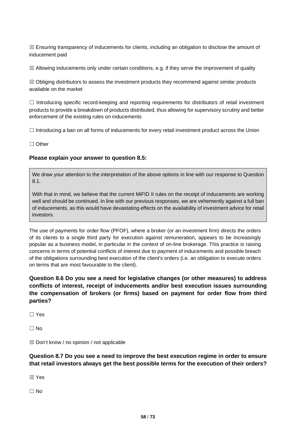$\boxtimes$  Ensuring transparency of inducements for clients, including an obligation to disclose the amount of inducement paid

 $\boxtimes$  Allowing inducements only under certain conditions, e.g. if they serve the improvement of quality

 $\boxtimes$  Obliging distributors to assess the investment products they recommend against similar products available on the market

 $\Box$  Introducing specific record-keeping and reporting requirements for distributors of retail investment products to provide a breakdown of products distributed, thus allowing for supervisory scrutiny and better enforcement of the existing rules on inducements

 $\Box$  Introducing a ban on all forms of inducements for every retail investment product across the Union

☐ Other

### **Please explain your answer to question 8.5:**

We draw your attention to the interpretation of the above options in line with our response to Question 8.1.

With that in mind, we believe that the current MiFID II rules on the receipt of inducements are working well and should be continued. In line with our previous responses, we are vehemently against a full ban of inducements, as this would have devastating effects on the availability of investment advice for retail investors.

The use of payments for order flow (PFOF), where a broker (or an investment firm) directs the orders of its clients to a single third party for execution against remuneration, appears to be increasingly popular as a business model, in particular in the context of on-line brokerage. This practice is raising concerns in terms of potential conflicts of interest due to payment of inducements and possible breach of the obligations surrounding best execution of the client's orders (i.e. an obligation to execute orders on terms that are most favourable to the client).

**Question 8.6 Do you see a need for legislative changes (or other measures) to address conflicts of interest, receipt of inducements and/or best execution issues surrounding the compensation of brokers (or firms) based on payment for order flow from third parties?**

☐ Yes

 $\Box$  No

 $\boxtimes$  Don't know / no opinion / not applicable

**Question 8.7 Do you see a need to improve the best execution regime in order to ensure that retail investors always get the best possible terms for the execution of their orders?**

☒ Yes

 $\Box$  No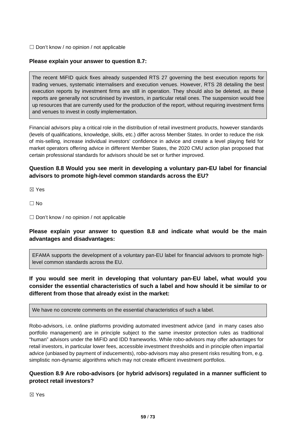☐ Don't know / no opinion / not applicable

### **Please explain your answer to question 8.7:**

The recent MiFID quick fixes already suspended RTS 27 governing the best execution reports for trading venues, systematic internalisers and execution venues. However, RTS 28 detailing the best execution reports by investment firms are still in operation. They should also be deleted, as these reports are generally not scrutinised by investors, in particular retail ones. The suspension would free up resources that are currently used for the production of the report, without requiring investment firms and venues to invest in costly implementation.

Financial advisors play a critical role in the distribution of retail investment products, however standards (levels of qualifications, knowledge, skills, etc.) differ across Member States. In order to reduce the risk of mis-selling, increase individual investors' confidence in advice and create a level playing field for market operators offering advice in different Member States, the 2020 CMU action plan proposed that certain professional standards for advisors should be set or further improved.

# **Question 8.8 Would you see merit in developing a voluntary pan-EU label for financial advisors to promote high-level common standards across the EU?**

☒ Yes

☐ No

 $\Box$  Don't know / no opinion / not applicable

## **Please explain your answer to question 8.8 and indicate what would be the main advantages and disadvantages:**

EFAMA supports the development of a voluntary pan-EU label for financial advisors to promote highlevel common standards across the EU.

**If you would see merit in developing that voluntary pan-EU label, what would you consider the essential characteristics of such a label and how should it be similar to or different from those that already exist in the market:**

We have no concrete comments on the essential characteristics of such a label.

Robo-advisors, i.e. online platforms providing automated investment advice (and in many cases also portfolio management) are in principle subject to the same investor protection rules as traditional "human" advisors under the MiFID and IDD frameworks. While robo-advisors may offer advantages for retail investors, in particular lower fees, accessible investment thresholds and in principle often impartial advice (unbiased by payment of inducements), robo-advisors may also present risks resulting from, e.g. simplistic non-dynamic algorithms which may not create efficient investment portfolios.

## **Question 8.9 Are robo-advisors (or hybrid advisors) regulated in a manner sufficient to protect retail investors?**

☒ Yes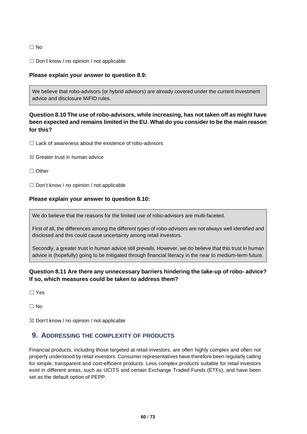### ☐ No

☐ Don't know / no opinion / not applicable

### **Please explain your answer to question 8.9:**

We believe that robo-advisors (or hybrid advisors) are already covered under the current investment advice and disclosure MiFID rules.

# **Question 8.10 The use of robo-advisors, while increasing, has not taken off as might have been expected and remains limited in the EU. What do you consider to be the main reason for this?**

 $\Box$  Lack of awareness about the existence of robo-advisors

- $R \times$  Greater trust in human advice
- ☐ Other
- $\Box$  Don't know / no opinion / not applicable

### **Please explain your answer to question 8.10:**

We do believe that the reasons for the limited use of robo-advisors are multi-faceted.

First of all, the differences among the different types of robo-advisors are not always well identified and disclosed and this could cause uncertainty among retail investors.

Secondly, a greater trust in human advice still prevails. However, we do believe that this trust in human advice is (hopefully) going to be mitigated through financial literacy in the near to medium-term future.

# **Question 8.11 Are there any unnecessary barriers hindering the take-up of robo- advice? If so, which measures could be taken to address them?**

☐ Yes

☐ No

 $\boxtimes$  Don't know / no opinion / not applicable

# **9. ADDRESSING THE COMPLEXITY OF PRODUCTS**

Financial products, including those targeted at retail investors, are often highly complex and often not properly understood by retail investors. Consumer representatives have therefore been regularly calling for simple, transparent and cost-efficient products. Less complex products suitable for retail investors exist in different areas, such as UCITS and certain Exchange Traded Funds (ETFs), and have been set as the default option of PEPP.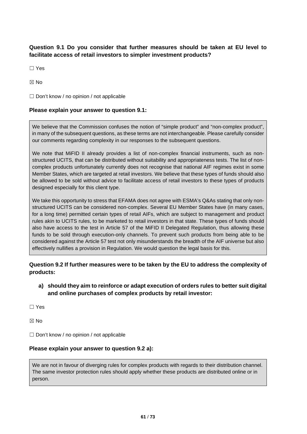# **Question 9.1 Do you consider that further measures should be taken at EU level to facilitate access of retail investors to simpler investment products?**

☐ Yes

☒ No

□ Don't know / no opinion / not applicable

### **Please explain your answer to question 9.1:**

We believe that the Commission confuses the notion of "simple product" and "non-complex product", in many of the subsequent questions, as these terms are not interchangeable. Please carefully consider our comments regarding complexity in our responses to the subsequent questions.

We note that MiFID II already provides a list of non-complex financial instruments, such as nonstructured UCITS, that can be distributed without suitability and appropriateness tests. The list of noncomplex products unfortunately currently does not recognise that national AIF regimes exist in some Member States, which are targeted at retail investors. We believe that these types of funds should also be allowed to be sold without advice to facilitate access of retail investors to these types of products designed especially for this client type.

We take this opportunity to stress that EFAMA does not agree with ESMA's Q&As stating that only nonstructured UCITS can be considered non-complex. Several EU Member States have (in many cases, for a long time) permitted certain types of retail AIFs, which are subject to management and product rules akin to UCITS rules, to be marketed to retail investors in that state. These types of funds should also have access to the test in Article 57 of the MiFID II Delegated Regulation, thus allowing these funds to be sold through execution-only channels. To prevent such products from being able to be considered against the Article 57 test not only misunderstands the breadth of the AIF universe but also effectively nullifies a provision in Regulation. We would question the legal basis for this.

# **Question 9.2 If further measures were to be taken by the EU to address the complexity of products:**

## **a) should they aim to reinforce or adapt execution of orders rules to better suit digital and online purchases of complex products by retail investor:**

☐ Yes

☒ No

□ Don't know / no opinion / not applicable

### **Please explain your answer to question 9.2 a):**

We are not in favour of diverging rules for complex products with regards to their distribution channel. The same investor protection rules should apply whether these products are distributed online or in person.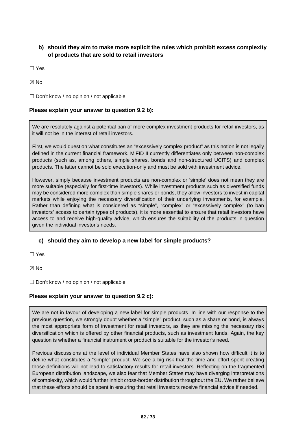# **b) should they aim to make more explicit the rules which prohibit excess complexity of products that are sold to retail investors**

☐ Yes

☒ No

 $\Box$  Don't know / no opinion / not applicable

### **Please explain your answer to question 9.2 b):**

We are resolutely against a potential ban of more complex investment products for retail investors, as it will not be in the interest of retail investors.

First, we would question what constitutes an "excessively complex product" as this notion is not legally defined in the current financial framework. MiFID II currently differentiates only between non-complex products (such as, among others, simple shares, bonds and non-structured UCITS) and complex products. The latter cannot be sold execution-only and must be sold with investment advice.

However, simply because investment products are non-complex or 'simple' does not mean they are more suitable (especially for first-time investors). While investment products such as diversified funds may be considered more complex than simple shares or bonds, they allow investors to invest in capital markets while enjoying the necessary diversification of their underlying investments, for example. Rather than defining what is considered as "simple", "complex" or "excessively complex" (to ban investors' access to certain types of products), it is more essential to ensure that retail investors have access to and receive high-quality advice, which ensures the suitability of the products in question given the individual investor's needs.

### **c) should they aim to develop a new label for simple products?**

☐ Yes

⊠ No

☐ Don't know / no opinion / not applicable

### **Please explain your answer to question 9.2 c):**

We are not in favour of developing a new label for simple products. In line with our response to the previous question, we strongly doubt whether a "simple" product, such as a share or bond, is always the most appropriate form of investment for retail investors, as they are missing the necessary risk diversification which is offered by other financial products, such as investment funds. Again, the key question is whether a financial instrument or product is suitable for the investor's need.

Previous discussions at the level of individual Member States have also shown how difficult it is to define what constitutes a "simple" product. We see a big risk that the time and effort spent creating those definitions will not lead to satisfactory results for retail investors. Reflecting on the fragmented European distribution landscape, we also fear that Member States may have diverging interpretations of complexity, which would further inhibit cross-border distribution throughout the EU. We rather believe that these efforts should be spent in ensuring that retail investors receive financial advice if needed.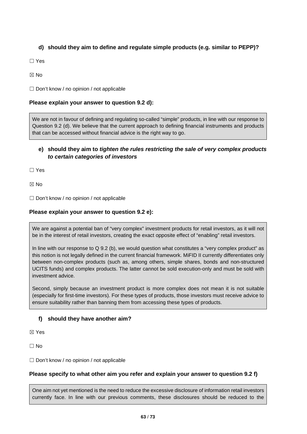# **d) should they aim to define and regulate simple products (e.g. similar to PEPP)?**

☐ Yes

☒ No

☐ Don't know / no opinion / not applicable

# **Please explain your answer to question 9.2 d):**

We are not in favour of defining and regulating so-called "simple" products, in line with our response to Question 9.2 (d). We believe that the current approach to defining financial instruments and products that can be accessed without financial advice is the right way to go.

# **e) should they aim to** *tighten the rules restricting the sale of very complex products to certain categories of investors*

☐ Yes

☒ No

 $\Box$  Don't know / no opinion / not applicable

### **Please explain your answer to question 9.2 e):**

We are against a potential ban of "very complex" investment products for retail investors, as it will not be in the interest of retail investors, creating the exact opposite effect of "enabling" retail investors.

In line with our response to Q 9.2 (b), we would question what constitutes a "very complex product" as this notion is not legally defined in the current financial framework. MiFID II currently differentiates only between non-complex products (such as, among others, simple shares, bonds and non-structured UCITS funds) and complex products. The latter cannot be sold execution-only and must be sold with investment advice.

Second, simply because an investment product is more complex does not mean it is not suitable (especially for first-time investors). For these types of products, those investors must receive advice to ensure suitability rather than banning them from accessing these types of products.

# **f) should they have another aim?**

☒ Yes

 $\Box$  No

 $\Box$  Don't know / no opinion / not applicable

### **Please specify to what other aim you refer and explain your answer to question 9.2 f)**

One aim not yet mentioned is the need to reduce the excessive disclosure of information retail investors currently face. In line with our previous comments, these disclosures should be reduced to the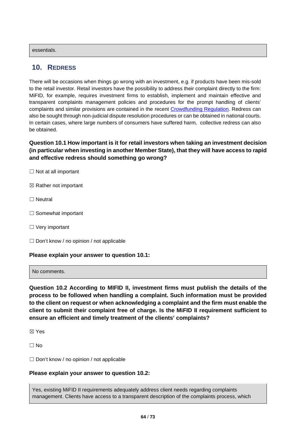essentials.

# **10. REDRESS**

There will be occasions when things go wrong with an investment, e.g. if products have been mis-sold to the retail investor. Retail investors have the possibility to address their complaint directly to the firm: MiFID, for example, requires investment firms to establish, implement and maintain effective and transparent complaints management policies and procedures for the prompt handling of clients' complaints and similar provisions are contained in the recent [Crowdfunding Regulation.](https://eur-lex.europa.eu/legal-content/EN/TXT/?uri=CELEX%3A32020R1503) Redress can also be sought through non-judicial dispute resolution procedures or can be obtained in national courts. In certain cases, where large numbers of consumers have suffered harm, collective redress can also be obtained.

**Question 10.1 How important is it for retail investors when taking an investment decision (in particular when investing in another Member State), that they will have access to rapid and effective redress should something go wrong?**

- $\Box$  Not at all important
- $\boxtimes$  Rather not important
- ☐ Neutral
- □ Somewhat important
- □ Very important
- $\Box$  Don't know / no opinion / not applicable

### **Please explain your answer to question 10.1:**

No comments.

**Question 10.2 According to MIFID II, investment firms must publish the details of the process to be followed when handling a complaint. Such information must be provided to the client on request or when acknowledging a complaint and the firm must enable the client to submit their complaint free of charge. Is the MiFID II requirement sufficient to ensure an efficient and timely treatment of the clients' complaints?**

☒ Yes

☐ No

 $\Box$  Don't know / no opinion / not applicable

### **Please explain your answer to question 10.2:**

Yes, existing MiFID II requirements adequately address client needs regarding complaints management. Clients have access to a transparent description of the complaints process, which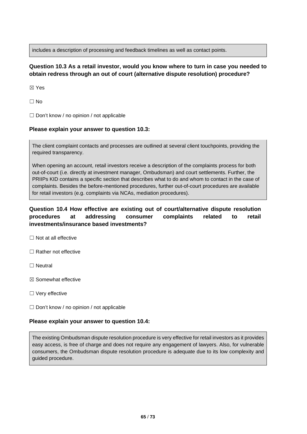includes a description of processing and feedback timelines as well as contact points.

# **Question 10.3 As a retail investor, would you know where to turn in case you needed to obtain redress through an out of court (alternative dispute resolution) procedure?**

☒ Yes

 $\Box$  No

☐ Don't know / no opinion / not applicable

## **Please explain your answer to question 10.3:**

The client complaint contacts and processes are outlined at several client touchpoints, providing the required transparency.

When opening an account, retail investors receive a description of the complaints process for both out-of-court (i.e. directly at investment manager, Ombudsman) and court settlements. Further, the PRIIPs KID contains a specific section that describes what to do and whom to contact in the case of complaints. Besides the before-mentioned procedures, further out-of-court procedures are available for retail investors (e.g. complaints via NCAs, mediation procedures).

# **Question 10.4 How effective are existing out of court/alternative dispute resolution procedures at addressing consumer complaints related to retail investments/insurance based investments?**

☐ Not at all effective

□ Rather not effective

☐ Neutral

☒ Somewhat effective

□ Very effective

 $\Box$  Don't know / no opinion / not applicable

### **Please explain your answer to question 10.4:**

The existing Ombudsman dispute resolution procedure is very effective for retail investors as it provides easy access, is free of charge and does not require any engagement of lawyers. Also, for vulnerable consumers, the Ombudsman dispute resolution procedure is adequate due to its low complexity and guided procedure.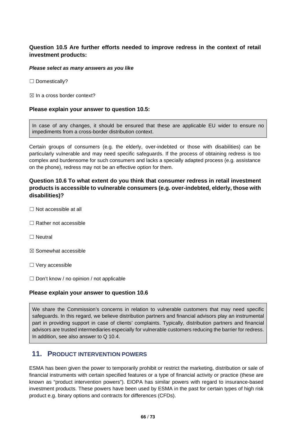# **Question 10.5 Are further efforts needed to improve redress in the context of retail investment products:**

#### *Please select as many answers as you like*

☐ Domestically?

 $\boxtimes$  In a cross border context?

### **Please explain your answer to question 10.5:**

In case of any changes, it should be ensured that these are applicable EU wider to ensure no impediments from a cross-border distribution context.

Certain groups of consumers (e.g. the elderly, over-indebted or those with disabilities) can be particularly vulnerable and may need specific safeguards. If the process of obtaining redress is too complex and burdensome for such consumers and lacks a specially adapted process (e.g. assistance on the phone), redress may not be an effective option for them.

# **Question 10.6 To what extent do you think that consumer redress in retail investment products is accessible to vulnerable consumers (e.g. over-indebted, elderly, those with disabilities)?**

- ☐ Not accessible at all
- ☐ Rather not accessible
- □ Neutral
- ☒ Somewhat accessible
- ☐ Very accessible
- $\Box$  Don't know / no opinion / not applicable

### **Please explain your answer to question 10.6**

We share the Commission's concerns in relation to vulnerable customers that may need specific safeguards. In this regard, we believe distribution partners and financial advisors play an instrumental part in providing support in case of clients' complaints. Typically, distribution partners and financial advisors are trusted intermediaries especially for vulnerable customers reducing the barrier for redress. In addition, see also answer to Q 10.4.

# **11. PRODUCT INTERVENTION POWERS**

ESMA has been given the power to temporarily prohibit or restrict the marketing, distribution or sale of financial instruments with certain specified features or a type of financial activity or practice (these are known as "product intervention powers"). EIOPA has similar powers with regard to insurance-based investment products. These powers have been used by ESMA in the past for certain types of high risk product e.g. binary options and contracts for differences (CFDs).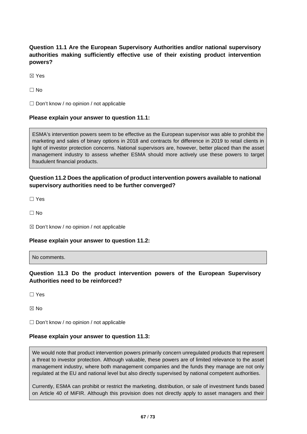# **Question 11.1 Are the European Supervisory Authorities and/or national supervisory authorities making sufficiently effective use of their existing product intervention powers?**

☒ Yes

 $\Box$  No

 $\Box$  Don't know / no opinion / not applicable

## **Please explain your answer to question 11.1:**

ESMA's intervention powers seem to be effective as the European supervisor was able to prohibit the marketing and sales of binary options in 2018 and contracts for difference in 2019 to retail clients in light of investor protection concerns. National supervisors are, however, better placed than the asset management industry to assess whether ESMA should more actively use these powers to target fraudulent financial products.

## **Question 11.2 Does the application of product intervention powers available to national supervisory authorities need to be further converged?**

☐ Yes

 $\Box$  No

 $\boxtimes$  Don't know / no opinion / not applicable

### **Please explain your answer to question 11.2:**

No comments.

## **Question 11.3 Do the product intervention powers of the European Supervisory Authorities need to be reinforced?**

☐ Yes

☒ No

 $\Box$  Don't know / no opinion / not applicable

### **Please explain your answer to question 11.3:**

We would note that product intervention powers primarily concern unregulated products that represent a threat to investor protection. Although valuable, these powers are of limited relevance to the asset management industry, where both management companies and the funds they manage are not only regulated at the EU and national level but also directly supervised by national competent authorities.

Currently, ESMA can prohibit or restrict the marketing, distribution, or sale of investment funds based on Article 40 of MiFIR. Although this provision does not directly apply to asset managers and their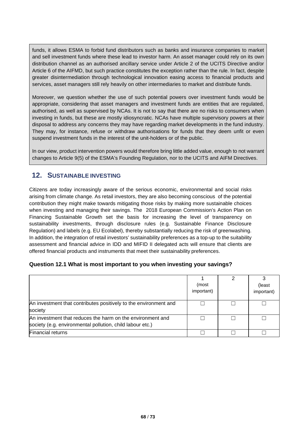funds, it allows ESMA to forbid fund distributors such as banks and insurance companies to market and sell investment funds where these lead to investor harm. An asset manager could rely on its own distribution channel as an authorised ancillary service under Article 2 of the UCITS Directive and/or Article 6 of the AIFMD, but such practice constitutes the exception rather than the rule. In fact, despite greater disintermediation through technological innovation easing access to financial products and services, asset managers still rely heavily on other intermediaries to market and distribute funds.

Moreover, we question whether the use of such potential powers over investment funds would be appropriate, considering that asset managers and investment funds are entities that are regulated, authorised, as well as supervised by NCAs. It is not to say that there are no risks to consumers when investing in funds, but these are mostly idiosyncratic. NCAs have multiple supervisory powers at their disposal to address any concerns they may have regarding market developments in the fund industry. They may, for instance, refuse or withdraw authorisations for funds that they deem unfit or even suspend investment funds in the interest of the unit-holders or of the public.

In our view, product intervention powers would therefore bring little added value, enough to not warrant changes to Article 9(5) of the ESMA's Founding Regulation, nor to the UCITS and AIFM Directives.

# **12. SUSTAINABLE INVESTING**

Citizens are today increasingly aware of the serious economic, environmental and social risks arising from climate change. As retail investors, they are also becoming conscious of the potential contribution they might make towards mitigating those risks by making more sustainable choices when investing and managing their savings. The 2018 European Commission's Action Plan on Financing Sustainable Growth set the basis for increasing the level of transparency on sustainability investments, through disclosure rules (e.g. Sustainable Finance Disclosure Regulation) and labels (e.g. EU Ecolabel), thereby substantially reducing the risk of greenwashing. In addition, the integration of retail investors' sustainability preferences as a top-up to the suitability assessment and financial advice in IDD and MIFID II delegated acts will ensure that clients are offered financial products and instruments that meet their sustainability preferences.

### **Question 12.1 What is most important to you when investing your savings?**

|                                                                                                                         | (most<br>important) | (least<br>important) |
|-------------------------------------------------------------------------------------------------------------------------|---------------------|----------------------|
| An investment that contributes positively to the environment and<br>society                                             |                     |                      |
| An investment that reduces the harm on the environment and<br>society (e.g. environmental pollution, child labour etc.) |                     |                      |
| <b>Financial returns</b>                                                                                                |                     |                      |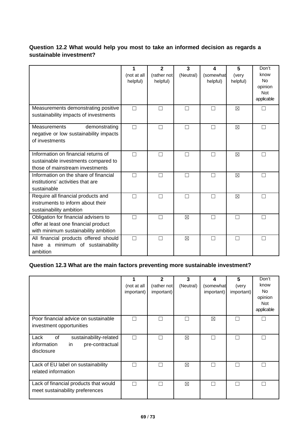# **Question 12.2 What would help you most to take an informed decision as regards a sustainable investment?**

|                                                                                                                      | 1<br>(not at all<br>helpful) | $\mathbf{2}$<br>(rather not<br>helpful) | 3<br>(Neutral) | 4<br>(somewhat<br>helpful) | 5<br>(very<br>helpful) | Don't<br>know<br><b>No</b><br>opinion<br><b>Not</b><br>applicable |
|----------------------------------------------------------------------------------------------------------------------|------------------------------|-----------------------------------------|----------------|----------------------------|------------------------|-------------------------------------------------------------------|
| Measurements demonstrating positive<br>sustainability impacts of investments                                         | П                            | П                                       | П              |                            | $\boxtimes$            |                                                                   |
| <b>Measurements</b><br>demonstrating<br>negative or low sustainability impacts<br>of investments                     | П                            | П                                       | П              |                            | $\boxtimes$            | П                                                                 |
| Information on financial returns of<br>sustainable investments compared to<br>those of mainstream investments        | П                            | П                                       | П              |                            | $\boxtimes$            |                                                                   |
| Information on the share of financial<br>institutions' activities that are<br>sustainable                            | П                            | П                                       | П              |                            | $\boxtimes$            | П                                                                 |
| Require all financial products and<br>instruments to inform about their<br>sustainability ambition                   | П                            | П                                       | П              |                            | $\boxtimes$            |                                                                   |
| Obligation for financial advisers to<br>offer at least one financial product<br>with minimum sustainability ambition | П                            | П                                       | $\boxtimes$    |                            | П                      |                                                                   |
| All financial products offered should<br>have a minimum of sustainability<br>ambition                                | П                            | П                                       | ⊠              | П                          | П                      |                                                                   |

# **Question 12.3 What are the main factors preventing more sustainable investment?**

|                                                                                            | (not at all<br>important) | $\overline{2}$<br>(rather not<br>important) | 3<br>(Neutral) | 4<br>(somewhat<br>important) | 5<br>(very<br>important) | Don't<br>know<br><b>No</b><br>opinion<br><b>Not</b><br>applicable |
|--------------------------------------------------------------------------------------------|---------------------------|---------------------------------------------|----------------|------------------------------|--------------------------|-------------------------------------------------------------------|
| Poor financial advice on sustainable<br>investment opportunities                           | $\sim$                    | П                                           |                | $\boxtimes$                  |                          | L                                                                 |
| Lack<br>0f<br>sustainability-related<br>information<br>in<br>pre-contractual<br>disclosure | L.                        |                                             | ⊠              |                              |                          |                                                                   |
| Lack of EU label on sustainability<br>related information                                  | П                         |                                             | $\boxtimes$    |                              |                          | П                                                                 |
| Lack of financial products that would<br>meet sustainability preferences                   | П                         |                                             | ⊠              | $\mathbf{I}$                 |                          | П                                                                 |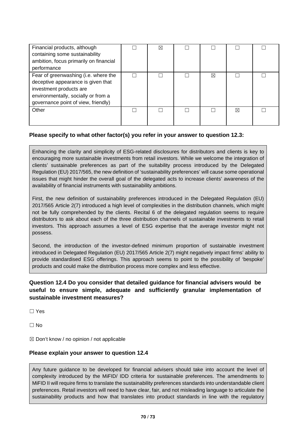| Financial products, although<br>containing some sustainability<br>ambition, focus primarily on financial<br>performance                                                             | ⋈ |   |   |  |
|-------------------------------------------------------------------------------------------------------------------------------------------------------------------------------------|---|---|---|--|
| Fear of greenwashing (i.e. where the<br>deceptive appearance is given that<br>investment products are<br>environmentally, socially or from a<br>governance point of view, friendly) |   | ⊠ |   |  |
| Other                                                                                                                                                                               |   |   | ⊠ |  |

## **Please specify to what other factor(s) you refer in your answer to question 12.3:**

Enhancing the clarity and simplicity of ESG-related disclosures for distributors and clients is key to encouraging more sustainable investments from retail investors. While we welcome the integration of clients' sustainable preferences as part of the suitability process introduced by the Delegated Regulation (EU) 2017/565, the new definition of 'sustainability preferences' will cause some operational issues that might hinder the overall goal of the delegated acts to increase clients' awareness of the availability of financial instruments with sustainability ambitions.

First, the new definition of sustainability preferences introduced in the Delegated Regulation (EU) 2017/565 Article 2(7) introduced a high level of complexities in the distribution channels, which might not be fully comprehended by the clients. Recital 6 of the delegated regulation seems to require distributors to ask about each of the three distribution channels of sustainable investments to retail investors. This approach assumes a level of ESG expertise that the average investor might not possess.

Second, the introduction of the investor-defined minimum proportion of sustainable investment introduced in Delegated Regulation (EU) 2017/565 Article 2(7) might negatively impact firms' ability to provide standardised ESG offerings. This approach seems to point to the possibility of 'bespoke' products and could make the distribution process more complex and less effective.

# **Question 12.4 Do you consider that detailed guidance for financial advisers would be useful to ensure simple, adequate and sufficiently granular implementation of sustainable investment measures?**

☐ Yes

☐ No

 $\boxtimes$  Don't know / no opinion / not applicable

### **Please explain your answer to question 12.4**

Any future guidance to be developed for financial advisers should take into account the level of complexity introduced by the MiFID/ IDD criteria for sustainable preferences. The amendments to MiFID II will require firms to translate the sustainability preferences standards into understandable client preferences. Retail investors will need to have clear, fair, and not misleading language to articulate the sustainability products and how that translates into product standards in line with the regulatory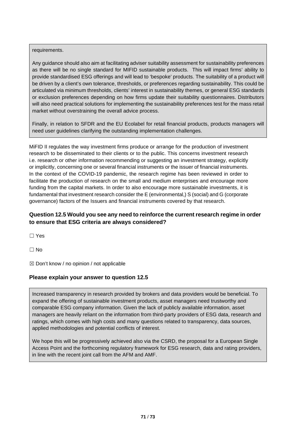### requirements.

Any guidance should also aim at facilitating adviser suitability assessment for sustainability preferences as there will be no single standard for MIFID sustainable products. This will impact firms' ability to provide standardised ESG offerings and will lead to 'bespoke' products. The suitability of a product will be driven by a client's own tolerance, thresholds, or preferences regarding sustainability. This could be articulated via minimum thresholds, clients' interest in sustainability themes, or general ESG standards or exclusion preferences depending on how firms update their suitability questionnaires. Distributors will also need practical solutions for implementing the sustainability preferences test for the mass retail market without overstraining the overall advice process.

Finally, in relation to SFDR and the EU Ecolabel for retail financial products, products managers will need user guidelines clarifying the outstanding implementation challenges.

MiFID II regulates the way investment firms produce or arrange for the production of investment research to be disseminated to their clients or to the public. This concerns investment research i.e. research or other information recommending or suggesting an investment strategy, explicitly or implicitly, concerning one or several financial instruments or the issuer of financial instruments. In the context of the COVID-19 pandemic, the research regime has been reviewed in order to facilitate the production of research on the small and medium enterprises and encourage more funding from the capital markets. In order to also encourage more sustainable investments, it is fundamental that investment research consider the E (environmental,) S (social) and G (corporate governance) factors of the Issuers and financial instruments covered by that research.

# **Question 12.5 Would you see any need to reinforce the current research regime in order to ensure that ESG criteria are always considered?**

☐ Yes

 $\Box$  No

 $\boxtimes$  Don't know / no opinion / not applicable

### **Please explain your answer to question 12.5**

Increased transparency in research provided by brokers and data providers would be beneficial. To expand the offering of sustainable investment products, asset managers need trustworthy and comparable ESG company information. Given the lack of publicly available information, asset managers are heavily reliant on the information from third-party providers of ESG data, research and ratings, which comes with high costs and many questions related to transparency, data sources, applied methodologies and potential conflicts of interest.

We hope this will be progressively achieved also via the CSRD, the proposal for a European Single Access Point and the forthcoming regulatory framework for ESG research, data and rating providers, in line with the recent joint call from the AFM and AMF.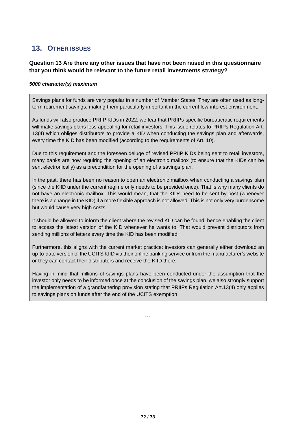# **13. OTHER ISSUES**

# **Question 13 Are there any other issues that have not been raised in this questionnaire that you think would be relevant to the future retail investments strategy?**

#### *5000 character(s) maximum*

Savings plans for funds are very popular in a number of Member States. They are often used as longterm retirement savings, making them particularly important in the current low-interest environment.

As funds will also produce PRIIP KIDs in 2022, we fear that PRIIPs-specific bureaucratic requirements will make savings plans less appealing for retail investors. This issue relates to PRIIPs Regulation Art. 13(4) which obliges distributors to provide a KID when conducting the savings plan and afterwards, every time the KID has been modified (according to the requirements of Art. 10).

Due to this requirement and the foreseen deluge of revised PRIIP KIDs being sent to retail investors, many banks are now requiring the opening of an electronic mailbox (to ensure that the KIDs can be sent electronically) as a precondition for the opening of a savings plan.

In the past, there has been no reason to open an electronic mailbox when conducting a savings plan (since the KIID under the current regime only needs to be provided once). That is why many clients do not have an electronic mailbox. This would mean, that the KIDs need to be sent by post (whenever there is a change in the KID) if a more flexible approach is not allowed. This is not only very burdensome but would cause very high costs.

It should be allowed to inform the client where the revised KID can be found, hence enabling the client to access the latest version of the KID whenever he wants to. That would prevent distributors from sending millions of letters every time the KID has been modified.

Furthermore, this aligns with the current market practice: investors can generally either download an up-to-date version of the UCITS KIID via their online banking service or from the manufacturer's website or they can contact their distributors and receive the KIID there.

Having in mind that millions of savings plans have been conducted under the assumption that the investor only needs to be informed once at the conclusion of the savings plan, we also strongly support the implementation of a grandfathering provision stating that PRIIPs Regulation Art.13(4) only applies to savings plans on funds after the end of the UCITS exemption

\*\*\*